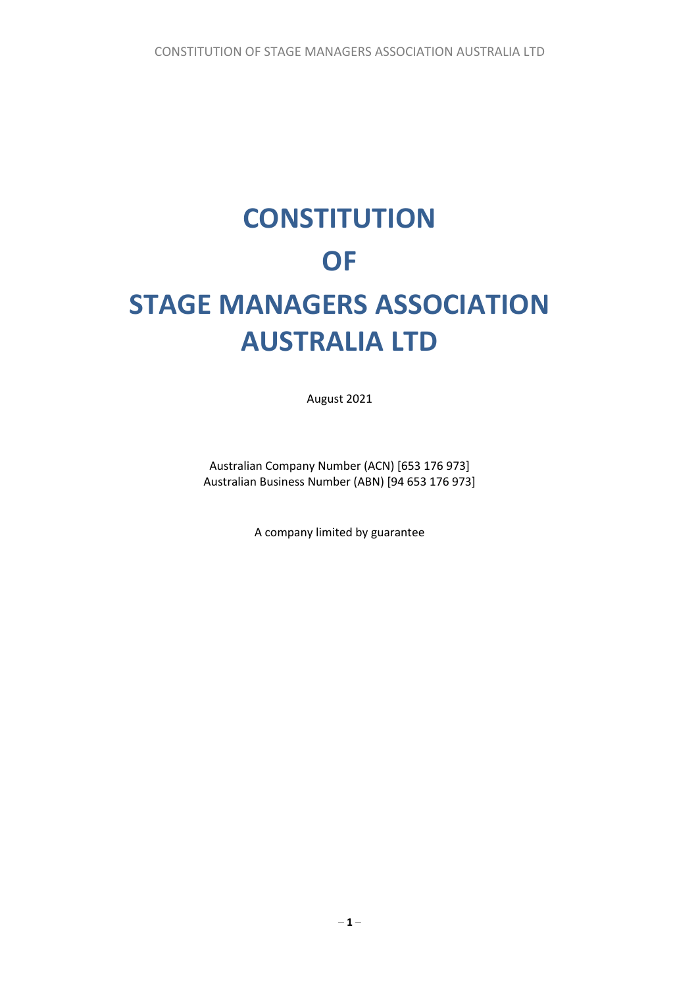# **CONSTITUTION OF STAGE MANAGERS ASSOCIATION AUSTRALIA LTD**

August 2021

Australian Company Number (ACN) [653 176 973] Australian Business Number (ABN) [94 653 176 973]

A company limited by guarantee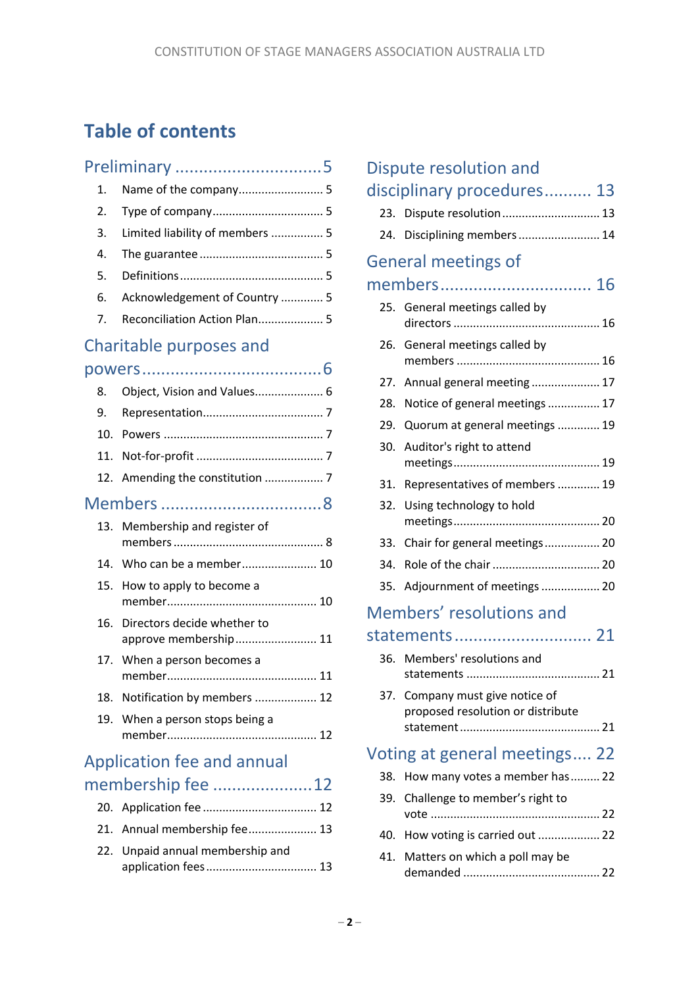# **Table of contents**

|     | Preliminary 5                                        |  |
|-----|------------------------------------------------------|--|
| 1.  |                                                      |  |
| 2.  |                                                      |  |
| 3.  | Limited liability of members  5                      |  |
| 4.  |                                                      |  |
| 5.  |                                                      |  |
| 6.  | Acknowledgement of Country  5                        |  |
| 7.  | Reconciliation Action Plan 5                         |  |
|     | Charitable purposes and                              |  |
|     |                                                      |  |
| 8.  | Object, Vision and Values 6                          |  |
| 9.  |                                                      |  |
| 10. |                                                      |  |
| 11. |                                                      |  |
| 12. | Amending the constitution  7                         |  |
|     |                                                      |  |
| 13. | Membership and register of                           |  |
|     | 14. Who can be a member 10                           |  |
| 15. | How to apply to become a                             |  |
| 16. | Directors decide whether to<br>approve membership 11 |  |
| 17. | When a person becomes a                              |  |
| 18. | Notification by members  12                          |  |
| 19. | When a person stops being a                          |  |
|     | Application fee and annual                           |  |
|     | membership fee 12                                    |  |
|     |                                                      |  |
|     | 21. Annual membership fee 13                         |  |
|     | 22. Unpaid annual membership and                     |  |

|     | Dispute resolution and                                               |
|-----|----------------------------------------------------------------------|
|     | disciplinary procedures 13                                           |
|     | 23. Dispute resolution 13                                            |
| 24. | Disciplining members  14                                             |
|     | <b>General meetings of</b>                                           |
|     | members 16                                                           |
| 25. | General meetings called by                                           |
| 26. | General meetings called by                                           |
| 27. | Annual general meeting  17                                           |
| 28. | Notice of general meetings  17                                       |
| 29. | Quorum at general meetings  19                                       |
| 30. | Auditor's right to attend                                            |
| 31. | Representatives of members  19                                       |
| 32. | Using technology to hold                                             |
| 33. | Chair for general meetings 20                                        |
| 34. |                                                                      |
| 35. | Adjournment of meetings  20                                          |
|     | Members' resolutions and                                             |
|     | statements 21                                                        |
|     | 36. Members' resolutions and<br>21<br>statements                     |
|     | 37. Company must give notice of<br>proposed resolution or distribute |
|     | Voting at general meetings 22                                        |
| 38. | How many votes a member has  22                                      |
| 39. | Challenge to member's right to                                       |
| 40. | How voting is carried out  22                                        |
| 41. | Matters on which a poll may be                                       |

demanded .......................................... 22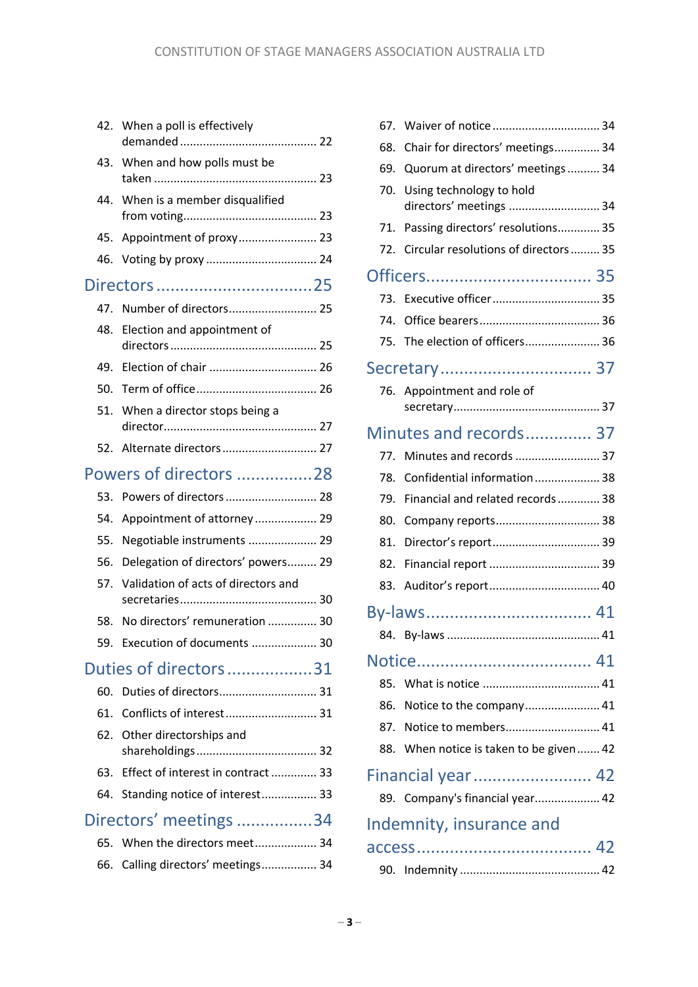|     | 42. When a poll is effectively      |
|-----|-------------------------------------|
| 43. | When and how polls must be          |
| 44. | When is a member disqualified       |
| 45. | Appointment of proxy 23             |
| 46. |                                     |
|     | Directors25                         |
|     |                                     |
| 48. | Election and appointment of         |
| 49. |                                     |
| 50. |                                     |
| 51. | When a director stops being a       |
|     | 52. Alternate directors 27          |
|     | Powers of directors 28              |
| 53. | Powers of directors  28             |
| 54. | Appointment of attorney  29         |
| 55. | Negotiable instruments  29          |
| 56. | Delegation of directors' powers 29  |
| 57. | Validation of acts of directors and |
| 58. | No directors' remuneration  30      |
|     | 59. Execution of documents  30      |
|     | Duties of directors31               |
| 60. | Duties of directors 31              |
| 61. | Conflicts of interest 31            |
| 62. | Other directorships and             |
| 63. | Effect of interest in contract  33  |
| 64. | Standing notice of interest 33      |
|     | Directors' meetings 34              |
| 65. | When the directors meet 34          |
|     | 66. Calling directors' meetings 34  |

| 67. |                                                     |
|-----|-----------------------------------------------------|
| 68. | Chair for directors' meetings 34                    |
| 69. | Quorum at directors' meetings 34                    |
| 70. | Using technology to hold<br>directors' meetings  34 |
| 71. | Passing directors' resolutions 35                   |
| 72. | Circular resolutions of directors 35                |
|     |                                                     |
| 73. |                                                     |
| 74. |                                                     |
|     | 75. The election of officers 36                     |
|     |                                                     |
|     | 76. Appointment and role of                         |
|     | Minutes and records 37                              |
| 77. | Minutes and records  37                             |
| 78. | Confidential information 38                         |
| 79. | Financial and related records 38                    |
| 80. | Company reports 38                                  |
| 81. | Director's report 39                                |
| 82. |                                                     |
| 83. |                                                     |
|     |                                                     |
|     |                                                     |
|     |                                                     |
| 85. |                                                     |
| 86. | Notice to the company 41                            |
| 87. | Notice to members 41                                |
| 88. | When notice is taken to be given 42                 |
|     | Financial year 42                                   |
|     | 89. Company's financial year 42                     |
|     | Indemnity, insurance and                            |
|     |                                                     |
| 90. |                                                     |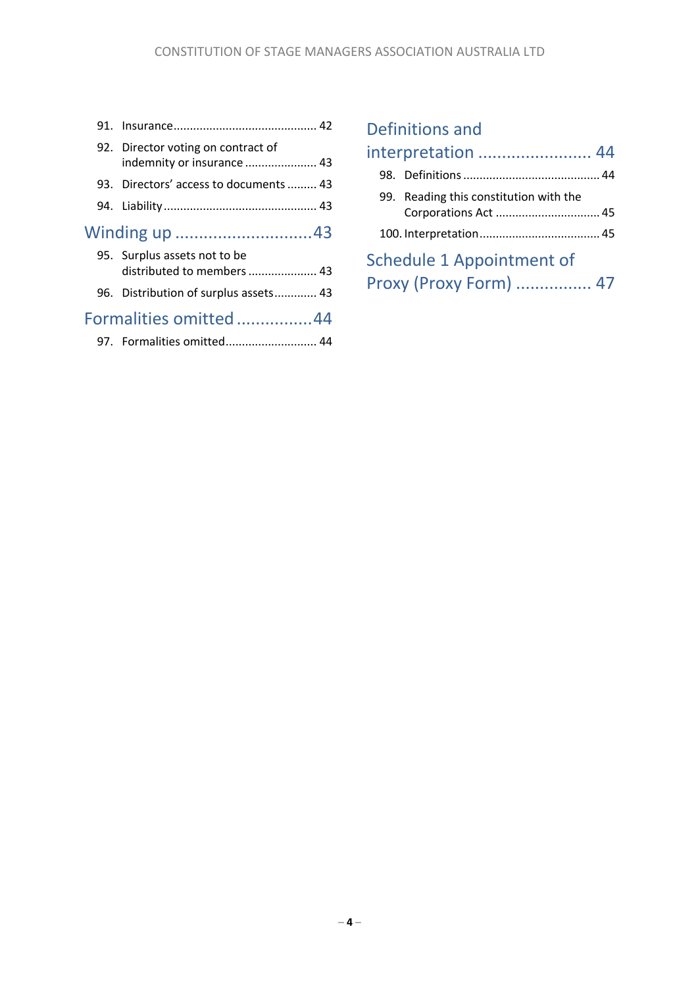|  | 92. Director voting on contract of<br>indemnity or insurance  43 |  |
|--|------------------------------------------------------------------|--|
|  | 93. Directors' access to documents  43                           |  |
|  |                                                                  |  |
|  |                                                                  |  |
|  | 95. Surplus assets not to be<br>distributed to members  43       |  |
|  | 96. Distribution of surplus assets 43                            |  |
|  | Formalities omitted 44                                           |  |

# Definitions and

| interpretation  44                                             |  |
|----------------------------------------------------------------|--|
|                                                                |  |
| 99. Reading this constitution with the<br>Corporations Act  45 |  |
|                                                                |  |
| Schedule 1 Appointment of                                      |  |
| Proxy (Proxy Form)  47                                         |  |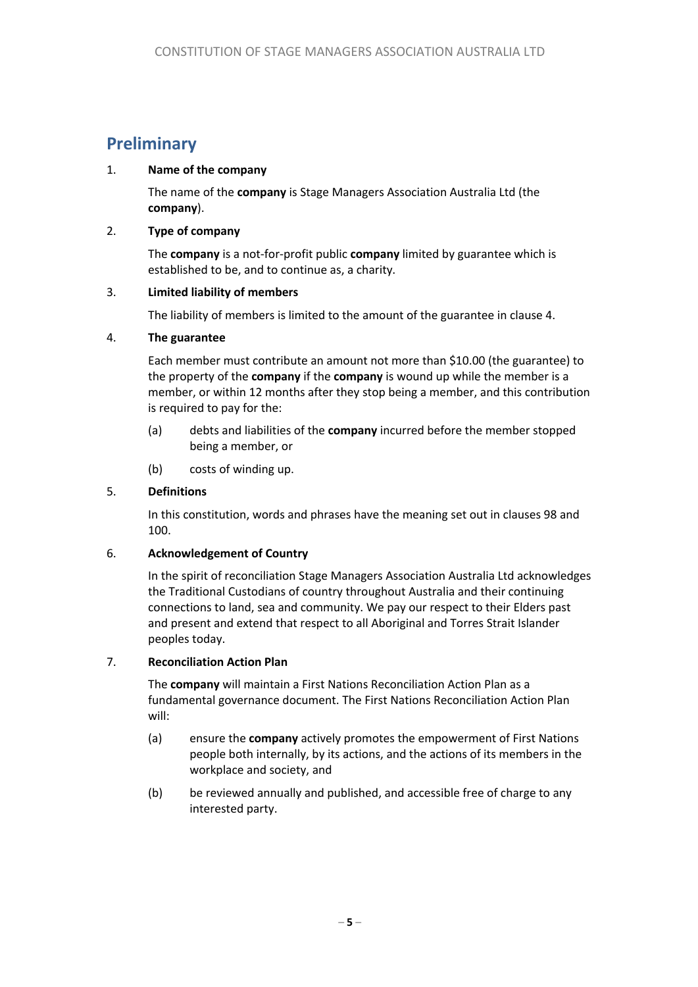# **Preliminary**

#### 1. **Name of the company**

The name of the **company** is Stage Managers Association Australia Ltd (the **company**).

#### 2. **Type of company**

The **company** is a not-for-profit public **company** limited by guarantee which is established to be, and to continue as, a charity.

#### 3. **Limited liability of members**

The liability of members is limited to the amount of the guarantee in clause 4.

#### 4. **The guarantee**

Each member must contribute an amount not more than \$10.00 (the guarantee) to the property of the **company** if the **company** is wound up while the member is a member, or within 12 months after they stop being a member, and this contribution is required to pay for the:

- (a) debts and liabilities of the **company** incurred before the member stopped being a member, or
- (b) costs of winding up.

#### 5. **Definitions**

In this constitution, words and phrases have the meaning set out in clauses 98 and 100.

#### 6. **Acknowledgement of Country**

In the spirit of reconciliation Stage Managers Association Australia Ltd acknowledges the Traditional Custodians of country throughout Australia and their continuing connections to land, sea and community. We pay our respect to their Elders past and present and extend that respect to all Aboriginal and Torres Strait Islander peoples today.

#### 7. **Reconciliation Action Plan**

The **company** will maintain a First Nations Reconciliation Action Plan as a fundamental governance document. The First Nations Reconciliation Action Plan will:

- (a) ensure the **company** actively promotes the empowerment of First Nations people both internally, by its actions, and the actions of its members in the workplace and society, and
- (b) be reviewed annually and published, and accessible free of charge to any interested party.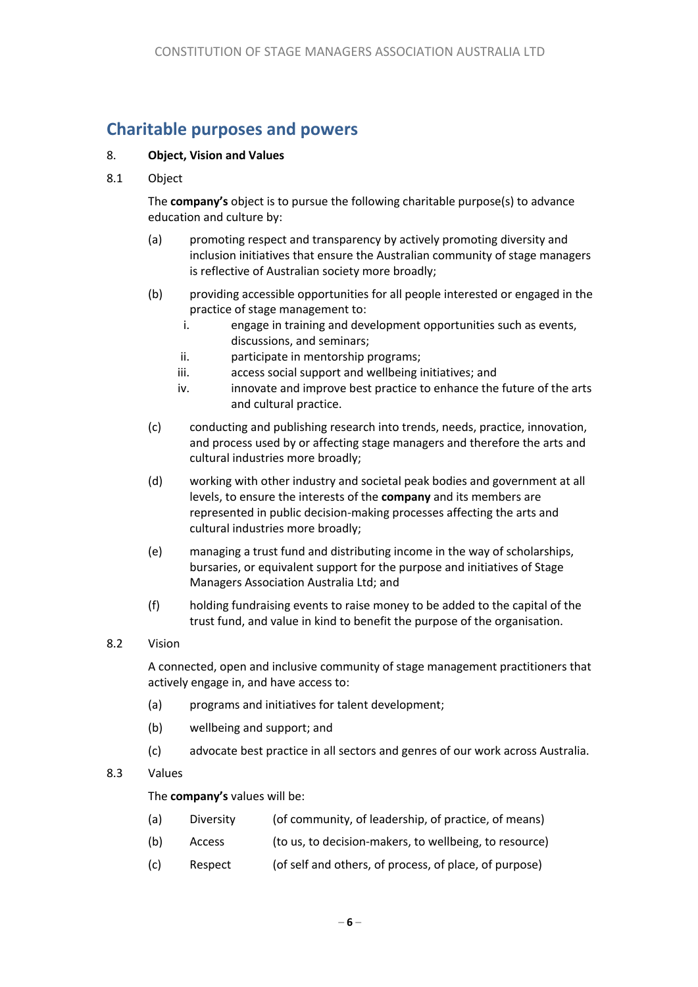# **Charitable purposes and powers**

#### 8. **Object, Vision and Values**

8.1 Object

The **company's** object is to pursue the following charitable purpose(s) to advance education and culture by:

- (a) promoting respect and transparency by actively promoting diversity and inclusion initiatives that ensure the Australian community of stage managers is reflective of Australian society more broadly;
- (b) providing accessible opportunities for all people interested or engaged in the practice of stage management to:
	- i. engage in training and development opportunities such as events, discussions, and seminars;
	- ii. participate in mentorship programs;
	- iii. access social support and wellbeing initiatives; and
	- iv. innovate and improve best practice to enhance the future of the arts and cultural practice.
- (c) conducting and publishing research into trends, needs, practice, innovation, and process used by or affecting stage managers and therefore the arts and cultural industries more broadly;
- (d) working with other industry and societal peak bodies and government at all levels, to ensure the interests of the **company** and its members are represented in public decision-making processes affecting the arts and cultural industries more broadly;
- (e) managing a trust fund and distributing income in the way of scholarships, bursaries, or equivalent support for the purpose and initiatives of Stage Managers Association Australia Ltd; and
- (f) holding fundraising events to raise money to be added to the capital of the trust fund, and value in kind to benefit the purpose of the organisation.

#### 8.2 Vision

A connected, open and inclusive community of stage management practitioners that actively engage in, and have access to:

- (a) programs and initiatives for talent development;
- (b) wellbeing and support; and
- (c) advocate best practice in all sectors and genres of our work across Australia.

#### 8.3 Values

#### The **company's** values will be:

- (a) Diversity (of community, of leadership, of practice, of means)
- (b) Access (to us, to decision-makers, to wellbeing, to resource)
- (c) Respect (of self and others, of process, of place, of purpose)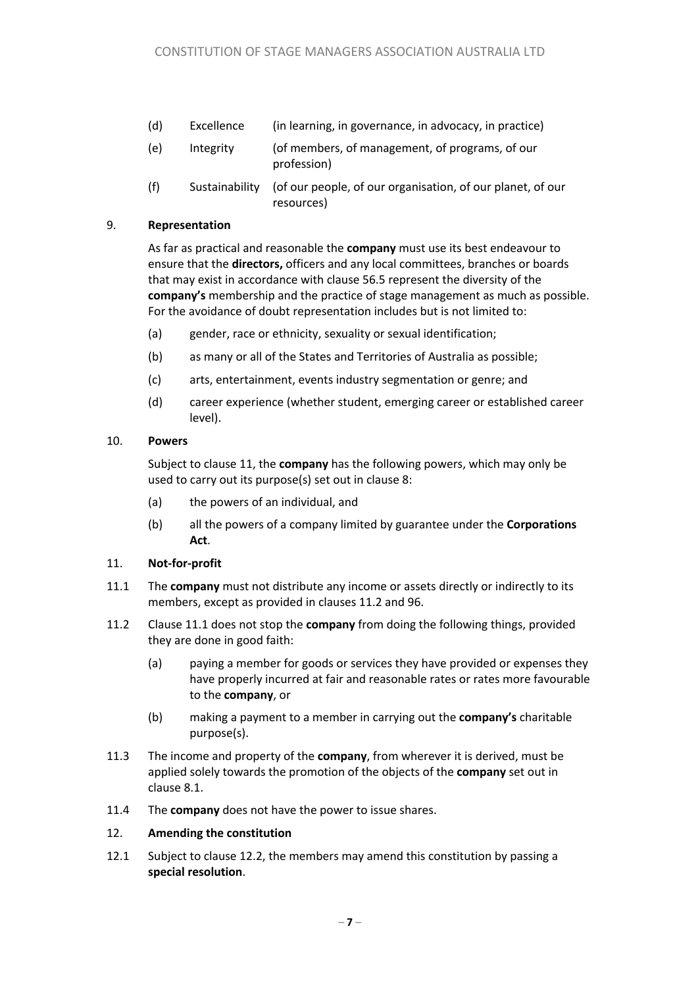- (d) Excellence (in learning, in governance, in advocacy, in practice)
- (e) Integrity (of members, of management, of programs, of our profession)
- (f) Sustainability (of our people, of our organisation, of our planet, of our resources)

#### 9. **Representation**

As far as practical and reasonable the **company** must use its best endeavour to ensure that the **directors,** officers and any local committees, branches or boards that may exist in accordance with clause 56.5 represent the diversity of the **company's** membership and the practice of stage management as much as possible. For the avoidance of doubt representation includes but is not limited to:

- (a) gender, race or ethnicity, sexuality or sexual identification;
- (b) as many or all of the States and Territories of Australia as possible;
- (c) arts, entertainment, events industry segmentation or genre; and
- (d) career experience (whether student, emerging career or established career level).

#### 10. **Powers**

Subject to clause 11, the **company** has the following powers, which may only be used to carry out its purpose(s) set out in clause 8:

- (a) the powers of an individual, and
- (b) all the powers of a company limited by guarantee under the **Corporations Act**.

#### 11. **Not-for-profit**

- 11.1 The **company** must not distribute any income or assets directly or indirectly to its members, except as provided in clauses 11.2 and 96.
- 11.2 Clause 11.1 does not stop the **company** from doing the following things, provided they are done in good faith:
	- (a) paying a member for goods or services they have provided or expenses they have properly incurred at fair and reasonable rates or rates more favourable to the **company**, or
	- (b) making a payment to a member in carrying out the **company's** charitable purpose(s).
- 11.3 The income and property of the **company**, from wherever it is derived, must be applied solely towards the promotion of the objects of the **company** set out in clause 8.1.
- 11.4 The **company** does not have the power to issue shares.

#### 12. **Amending the constitution**

12.1 Subject to clause 12.2, the members may amend this constitution by passing a **special resolution**.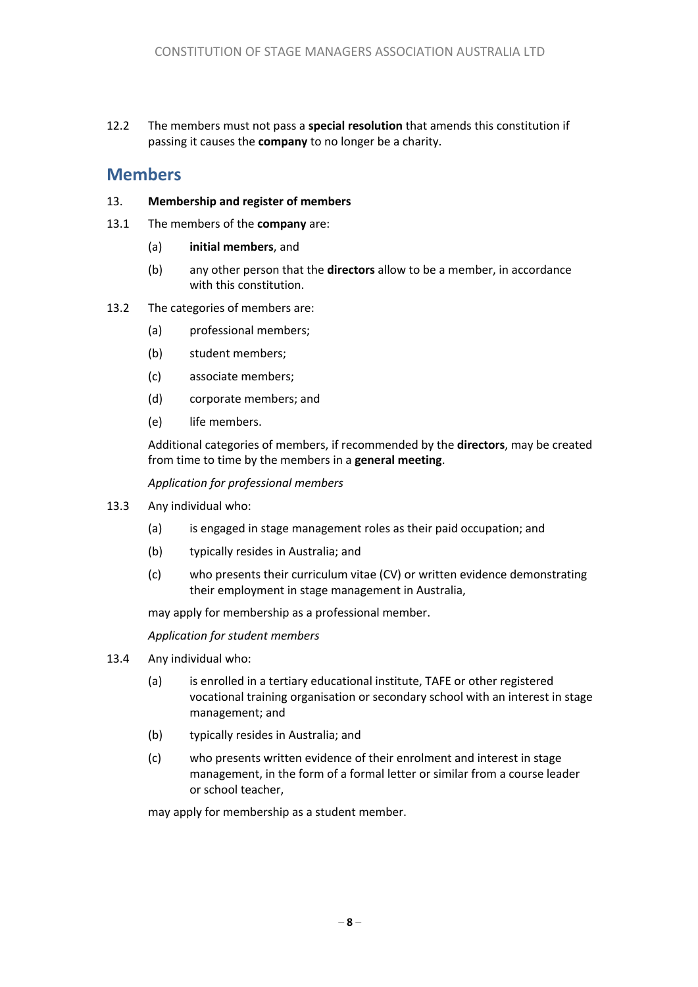12.2 The members must not pass a **special resolution** that amends this constitution if passing it causes the **company** to no longer be a charity.

# **Members**

#### 13. **Membership and register of members**

- 13.1 The members of the **company** are:
	- (a) **initial members**, and
	- (b) any other person that the **directors** allow to be a member, in accordance with this constitution.

#### 13.2 The categories of members are:

- (a) professional members;
- (b) student members;
- (c) associate members;
- (d) corporate members; and
- (e) life members.

Additional categories of members, if recommended by the **directors**, may be created from time to time by the members in a **general meeting**.

*Application for professional members*

- 13.3 Any individual who:
	- (a) is engaged in stage management roles as their paid occupation; and
	- (b) typically resides in Australia; and
	- (c) who presents their curriculum vitae (CV) or written evidence demonstrating their employment in stage management in Australia,

may apply for membership as a professional member.

*Application for student members* 

- 13.4 Any individual who:
	- (a) is enrolled in a tertiary educational institute, TAFE or other registered vocational training organisation or secondary school with an interest in stage management; and
	- (b) typically resides in Australia; and
	- (c) who presents written evidence of their enrolment and interest in stage management, in the form of a formal letter or similar from a course leader or school teacher,

may apply for membership as a student member.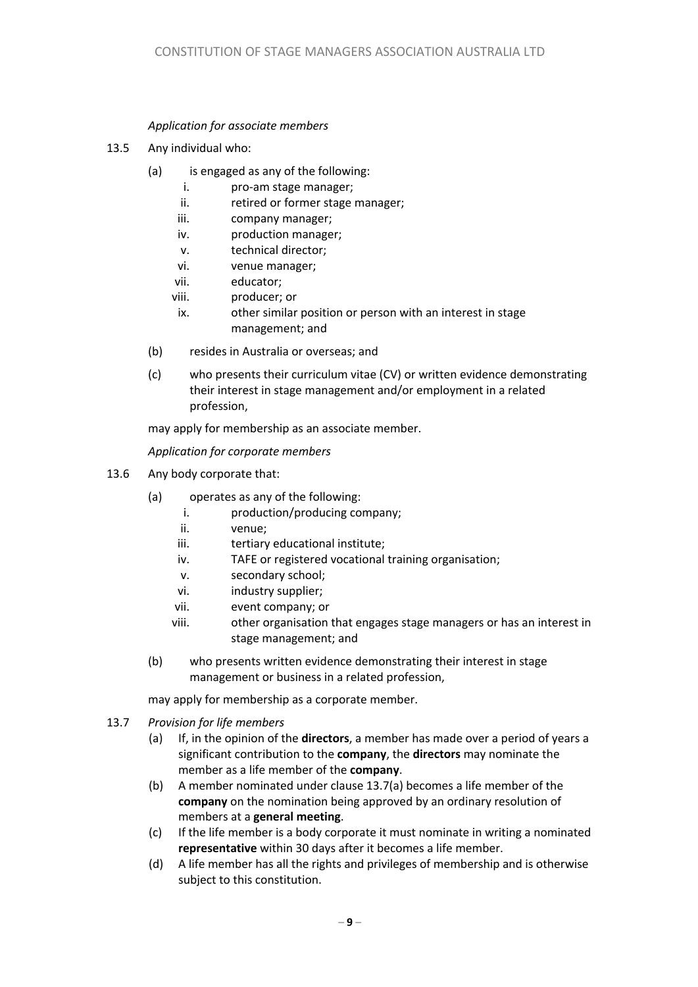#### *Application for associate members*

- 13.5 Any individual who:
	- (a) is engaged as any of the following:
		- i. pro-am stage manager;
		- ii. retired or former stage manager:
		- iii. company manager;
		- iv. production manager;
		- v. technical director;
		- vi. venue manager;
		- vii. educator;
		- viii. producer; or
		- ix. other similar position or person with an interest in stage management; and
	- (b) resides in Australia or overseas; and
	- (c) who presents their curriculum vitae (CV) or written evidence demonstrating their interest in stage management and/or employment in a related profession,

may apply for membership as an associate member.

*Application for corporate members*

- 13.6 Any body corporate that:
	- (a) operates as any of the following:
		- i. production/producing company;
		- ii. venue;
		- iii. tertiary educational institute;
		- iv. TAFE or registered vocational training organisation;
		- v. secondary school;
		- vi. industry supplier;
		- vii. event company; or
		- viii. other organisation that engages stage managers or has an interest in stage management; and
	- (b) who presents written evidence demonstrating their interest in stage management or business in a related profession,

may apply for membership as a corporate member.

- 13.7 *Provision for life members*
	- (a) If, in the opinion of the **directors**, a member has made over a period of years a significant contribution to the **company**, the **directors** may nominate the member as a life member of the **company**.
	- (b) A member nominated under clause 13.7(a) becomes a life member of the **company** on the nomination being approved by an ordinary resolution of members at a **general meeting**.
	- (c) If the life member is a body corporate it must nominate in writing a nominated **representative** within 30 days after it becomes a life member.
	- (d) A life member has all the rights and privileges of membership and is otherwise subject to this constitution.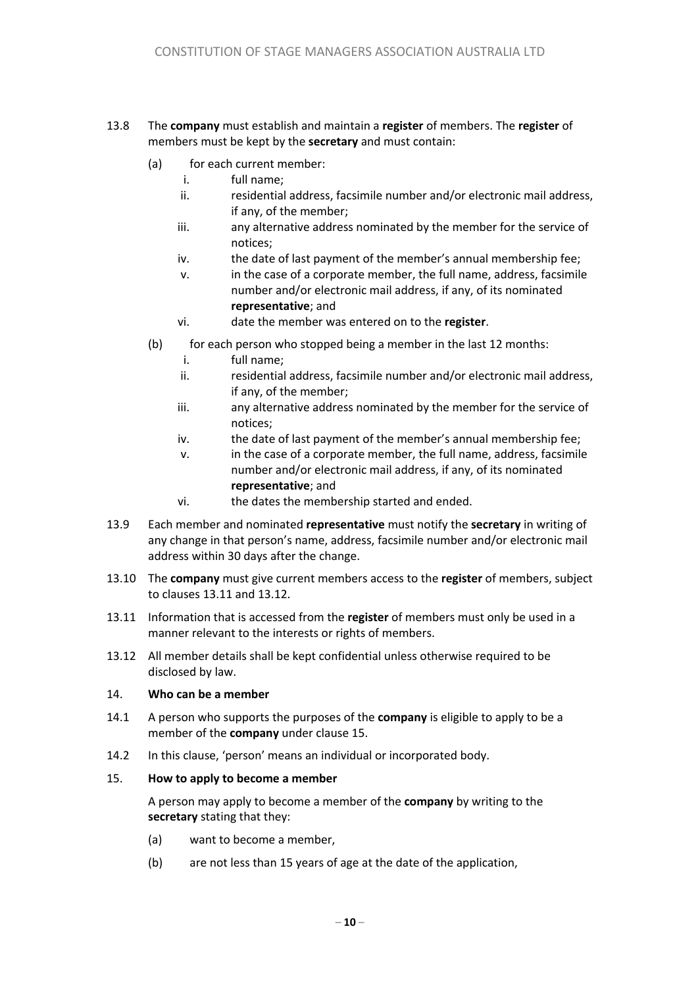#### 13.8 The **company** must establish and maintain a **register** of members. The **register** of members must be kept by the **secretary** and must contain:

- (a) for each current member:
	- i. full name;
	- ii. residential address, facsimile number and/or electronic mail address, if any, of the member;
	- iii. any alternative address nominated by the member for the service of notices;
	- iv. the date of last payment of the member's annual membership fee;
	- v. in the case of a corporate member, the full name, address, facsimile number and/or electronic mail address, if any, of its nominated **representative**; and
	- vi. date the member was entered on to the **register**.
- (b) for each person who stopped being a member in the last 12 months:
	- i. full name;
	- ii. residential address, facsimile number and/or electronic mail address, if any, of the member;
	- iii. any alternative address nominated by the member for the service of notices;
	- iv. the date of last payment of the member's annual membership fee;
	- v. in the case of a corporate member, the full name, address, facsimile number and/or electronic mail address, if any, of its nominated **representative**; and
	- vi. the dates the membership started and ended.
- 13.9 Each member and nominated **representative** must notify the **secretary** in writing of any change in that person's name, address, facsimile number and/or electronic mail address within 30 days after the change.
- 13.10 The **company** must give current members access to the **register** of members, subject to clauses 13.11 and 13.12.
- 13.11 Information that is accessed from the **register** of members must only be used in a manner relevant to the interests or rights of members.
- 13.12 All member details shall be kept confidential unless otherwise required to be disclosed by law.

#### 14. **Who can be a member**

- 14.1 A person who supports the purposes of the **company** is eligible to apply to be a member of the **company** under clause 15.
- 14.2 In this clause, 'person' means an individual or incorporated body.

#### 15. **How to apply to become a member**

A person may apply to become a member of the **company** by writing to the **secretary** stating that they:

- (a) want to become a member,
- (b) are not less than 15 years of age at the date of the application,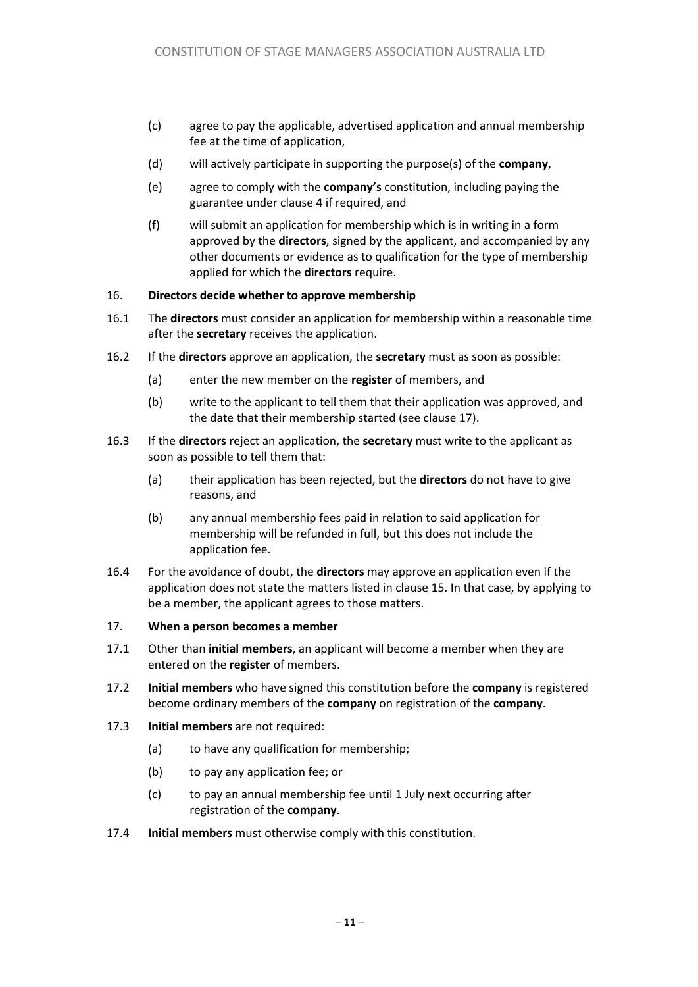- (c) agree to pay the applicable, advertised application and annual membership fee at the time of application,
- (d) will actively participate in supporting the purpose(s) of the **company**,
- (e) agree to comply with the **company's** constitution, including paying the guarantee under clause 4 if required, and
- (f) will submit an application for membership which is in writing in a form approved by the **directors**, signed by the applicant, and accompanied by any other documents or evidence as to qualification for the type of membership applied for which the **directors** require.

#### 16. **Directors decide whether to approve membership**

- 16.1 The **directors** must consider an application for membership within a reasonable time after the **secretary** receives the application.
- 16.2 If the **directors** approve an application, the **secretary** must as soon as possible:
	- (a) enter the new member on the **register** of members, and
	- (b) write to the applicant to tell them that their application was approved, and the date that their membership started (see clause 17).
- 16.3 If the **directors** reject an application, the **secretary** must write to the applicant as soon as possible to tell them that:
	- (a) their application has been rejected, but the **directors** do not have to give reasons, and
	- (b) any annual membership fees paid in relation to said application for membership will be refunded in full, but this does not include the application fee.
- 16.4 For the avoidance of doubt, the **directors** may approve an application even if the application does not state the matters listed in clause 15. In that case, by applying to be a member, the applicant agrees to those matters.

#### 17. **When a person becomes a member**

- 17.1 Other than **initial members**, an applicant will become a member when they are entered on the **register** of members.
- 17.2 **Initial members** who have signed this constitution before the **company** is registered become ordinary members of the **company** on registration of the **company**.
- 17.3 **Initial members** are not required:
	- (a) to have any qualification for membership;
	- (b) to pay any application fee; or
	- (c) to pay an annual membership fee until 1 July next occurring after registration of the **company**.
- 17.4 **Initial members** must otherwise comply with this constitution.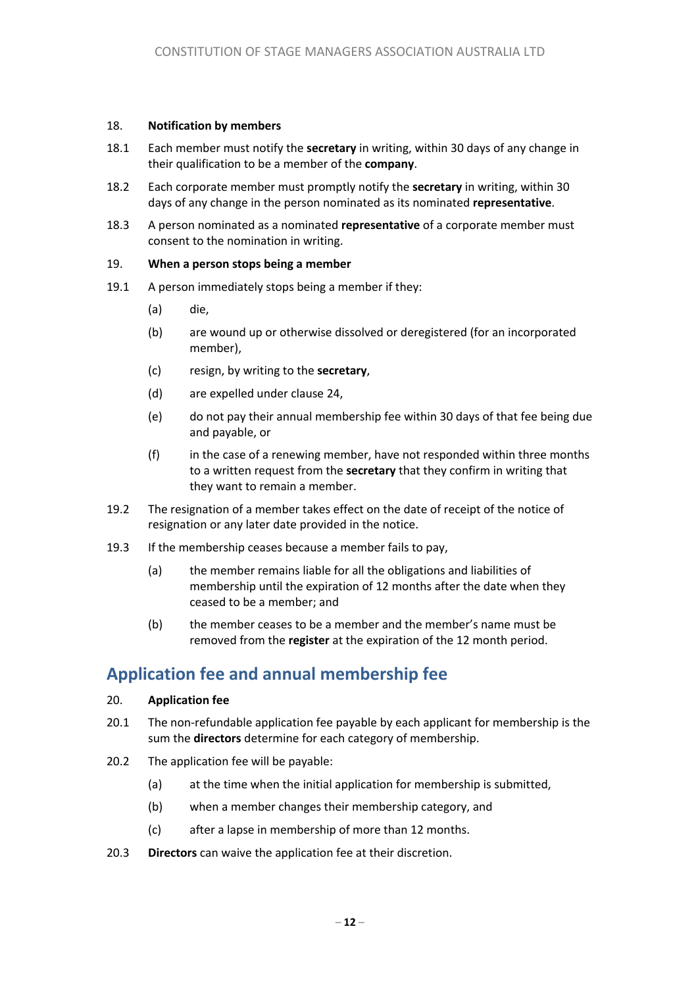#### 18. **Notification by members**

- 18.1 Each member must notify the **secretary** in writing, within 30 days of any change in their qualification to be a member of the **company**.
- 18.2 Each corporate member must promptly notify the **secretary** in writing, within 30 days of any change in the person nominated as its nominated **representative**.
- 18.3 A person nominated as a nominated **representative** of a corporate member must consent to the nomination in writing.

#### 19. **When a person stops being a member**

- 19.1 A person immediately stops being a member if they:
	- (a) die,
	- (b) are wound up or otherwise dissolved or deregistered (for an incorporated member),
	- (c) resign, by writing to the **secretary**,
	- (d) are expelled under clause 24,
	- (e) do not pay their annual membership fee within 30 days of that fee being due and payable, or
	- (f) in the case of a renewing member, have not responded within three months to a written request from the **secretary** that they confirm in writing that they want to remain a member.
- 19.2 The resignation of a member takes effect on the date of receipt of the notice of resignation or any later date provided in the notice.
- 19.3 If the membership ceases because a member fails to pay,
	- (a) the member remains liable for all the obligations and liabilities of membership until the expiration of 12 months after the date when they ceased to be a member; and
	- (b) the member ceases to be a member and the member's name must be removed from the **register** at the expiration of the 12 month period.

# **Application fee and annual membership fee**

#### 20. **Application fee**

- 20.1 The non-refundable application fee payable by each applicant for membership is the sum the **directors** determine for each category of membership.
- 20.2 The application fee will be payable:
	- (a) at the time when the initial application for membership is submitted,
	- (b) when a member changes their membership category, and
	- (c) after a lapse in membership of more than 12 months.
- 20.3 **Directors** can waive the application fee at their discretion.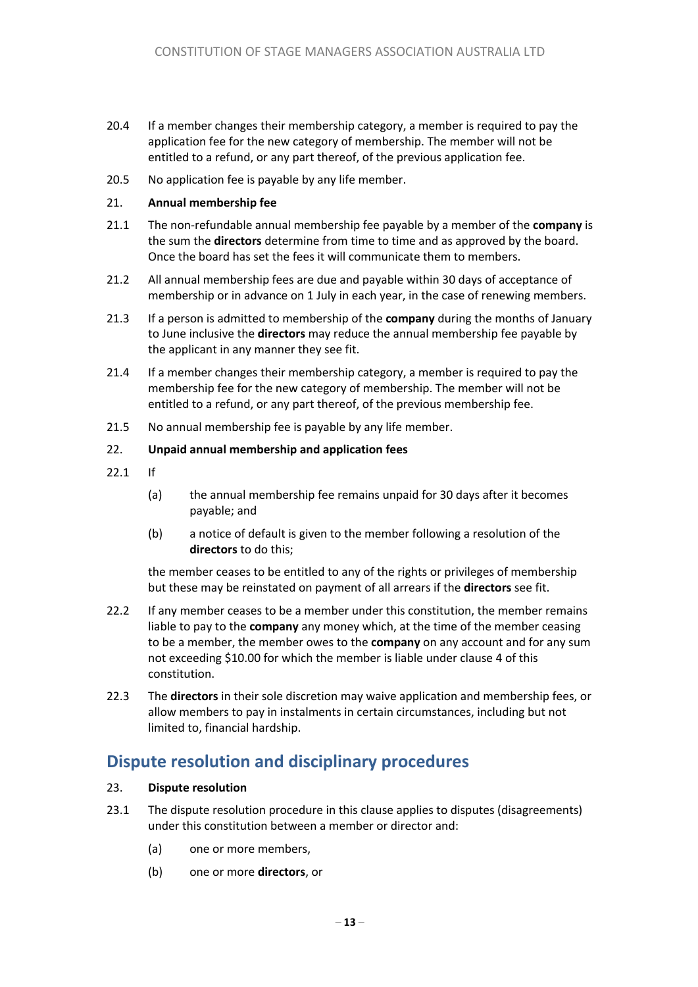- 20.4 If a member changes their membership category, a member is required to pay the application fee for the new category of membership. The member will not be entitled to a refund, or any part thereof, of the previous application fee.
- 20.5 No application fee is payable by any life member.

#### 21. **Annual membership fee**

- 21.1 The non-refundable annual membership fee payable by a member of the **company** is the sum the **directors** determine from time to time and as approved by the board. Once the board has set the fees it will communicate them to members.
- 21.2 All annual membership fees are due and payable within 30 days of acceptance of membership or in advance on 1 July in each year, in the case of renewing members.
- 21.3 If a person is admitted to membership of the **company** during the months of January to June inclusive the **directors** may reduce the annual membership fee payable by the applicant in any manner they see fit.
- 21.4 If a member changes their membership category, a member is required to pay the membership fee for the new category of membership. The member will not be entitled to a refund, or any part thereof, of the previous membership fee.
- 21.5 No annual membership fee is payable by any life member.

#### 22. **Unpaid annual membership and application fees**

- 22.1 If
	- (a) the annual membership fee remains unpaid for 30 days after it becomes payable; and
	- (b) a notice of default is given to the member following a resolution of the **directors** to do this;

the member ceases to be entitled to any of the rights or privileges of membership but these may be reinstated on payment of all arrears if the **directors** see fit.

- 22.2 If any member ceases to be a member under this constitution, the member remains liable to pay to the **company** any money which, at the time of the member ceasing to be a member, the member owes to the **company** on any account and for any sum not exceeding \$10.00 for which the member is liable under clause 4 of this constitution.
- 22.3 The **directors** in their sole discretion may waive application and membership fees, or allow members to pay in instalments in certain circumstances, including but not limited to, financial hardship.

# **Dispute resolution and disciplinary procedures**

#### 23. **Dispute resolution**

- 23.1 The dispute resolution procedure in this clause applies to disputes (disagreements) under this constitution between a member or director and:
	- (a) one or more members,
	- (b) one or more **directors**, or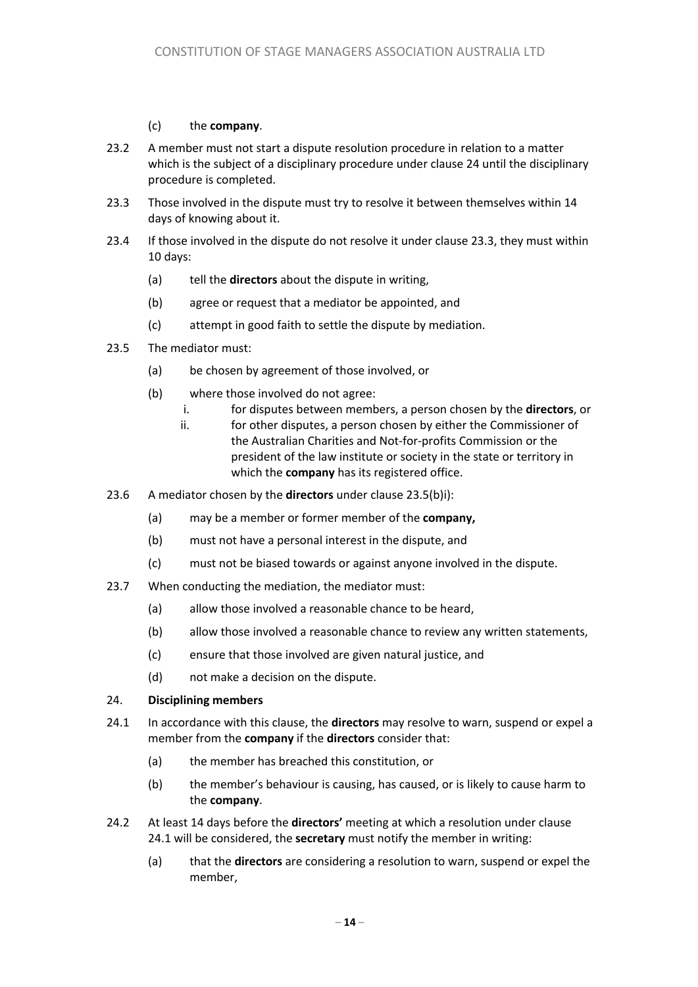#### (c) the **company**.

- 23.2 A member must not start a dispute resolution procedure in relation to a matter which is the subject of a disciplinary procedure under clause 24 until the disciplinary procedure is completed.
- 23.3 Those involved in the dispute must try to resolve it between themselves within 14 days of knowing about it.
- 23.4 If those involved in the dispute do not resolve it under clause 23.3, they must within 10 days:
	- (a) tell the **directors** about the dispute in writing,
	- (b) agree or request that a mediator be appointed, and
	- (c) attempt in good faith to settle the dispute by mediation.
- 23.5 The mediator must:
	- (a) be chosen by agreement of those involved, or
	- (b) where those involved do not agree:
		- i. for disputes between members, a person chosen by the **directors**, or
		- ii. for other disputes, a person chosen by either the Commissioner of the Australian Charities and Not-for-profits Commission or the president of the law institute or society in the state or territory in which the **company** has its registered office.
- 23.6 A mediator chosen by the **directors** under clause 23.5(b)i):
	- (a) may be a member or former member of the **company,**
	- (b) must not have a personal interest in the dispute, and
	- (c) must not be biased towards or against anyone involved in the dispute.
- 23.7 When conducting the mediation, the mediator must:
	- (a) allow those involved a reasonable chance to be heard,
	- (b) allow those involved a reasonable chance to review any written statements,
	- (c) ensure that those involved are given natural justice, and
	- (d) not make a decision on the dispute.

#### 24. **Disciplining members**

- 24.1 In accordance with this clause, the **directors** may resolve to warn, suspend or expel a member from the **company** if the **directors** consider that:
	- (a) the member has breached this constitution, or
	- (b) the member's behaviour is causing, has caused, or is likely to cause harm to the **company**.
- 24.2 At least 14 days before the **directors'** meeting at which a resolution under clause 24.1 will be considered, the **secretary** must notify the member in writing:
	- (a) that the **directors** are considering a resolution to warn, suspend or expel the member,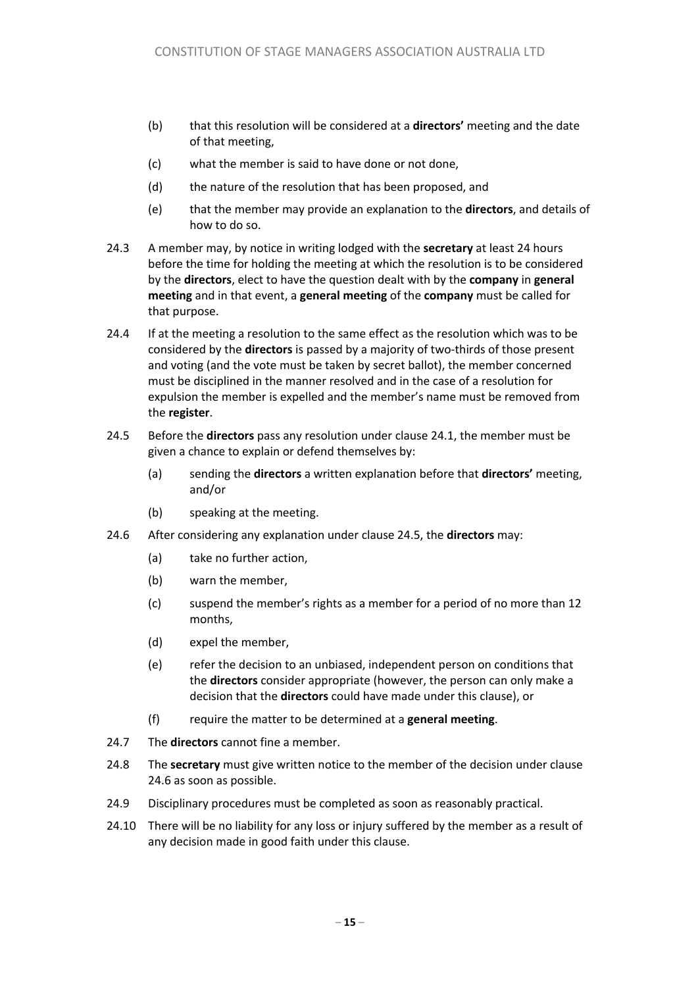- (b) that this resolution will be considered at a **directors'** meeting and the date of that meeting,
- (c) what the member is said to have done or not done,
- (d) the nature of the resolution that has been proposed, and
- (e) that the member may provide an explanation to the **directors**, and details of how to do so.
- 24.3 A member may, by notice in writing lodged with the **secretary** at least 24 hours before the time for holding the meeting at which the resolution is to be considered by the **directors**, elect to have the question dealt with by the **company** in **general meeting** and in that event, a **general meeting** of the **company** must be called for that purpose.
- 24.4 If at the meeting a resolution to the same effect as the resolution which was to be considered by the **directors** is passed by a majority of two-thirds of those present and voting (and the vote must be taken by secret ballot), the member concerned must be disciplined in the manner resolved and in the case of a resolution for expulsion the member is expelled and the member's name must be removed from the **register**.
- 24.5 Before the **directors** pass any resolution under clause 24.1, the member must be given a chance to explain or defend themselves by:
	- (a) sending the **directors** a written explanation before that **directors'** meeting, and/or
	- (b) speaking at the meeting.
- 24.6 After considering any explanation under clause 24.5, the **directors** may:
	- (a) take no further action,
	- (b) warn the member,
	- (c) suspend the member's rights as a member for a period of no more than 12 months,
	- (d) expel the member,
	- (e) refer the decision to an unbiased, independent person on conditions that the **directors** consider appropriate (however, the person can only make a decision that the **directors** could have made under this clause), or
	- (f) require the matter to be determined at a **general meeting**.
- 24.7 The **directors** cannot fine a member.
- 24.8 The **secretary** must give written notice to the member of the decision under clause 24.6 as soon as possible.
- 24.9 Disciplinary procedures must be completed as soon as reasonably practical.
- 24.10 There will be no liability for any loss or injury suffered by the member as a result of any decision made in good faith under this clause.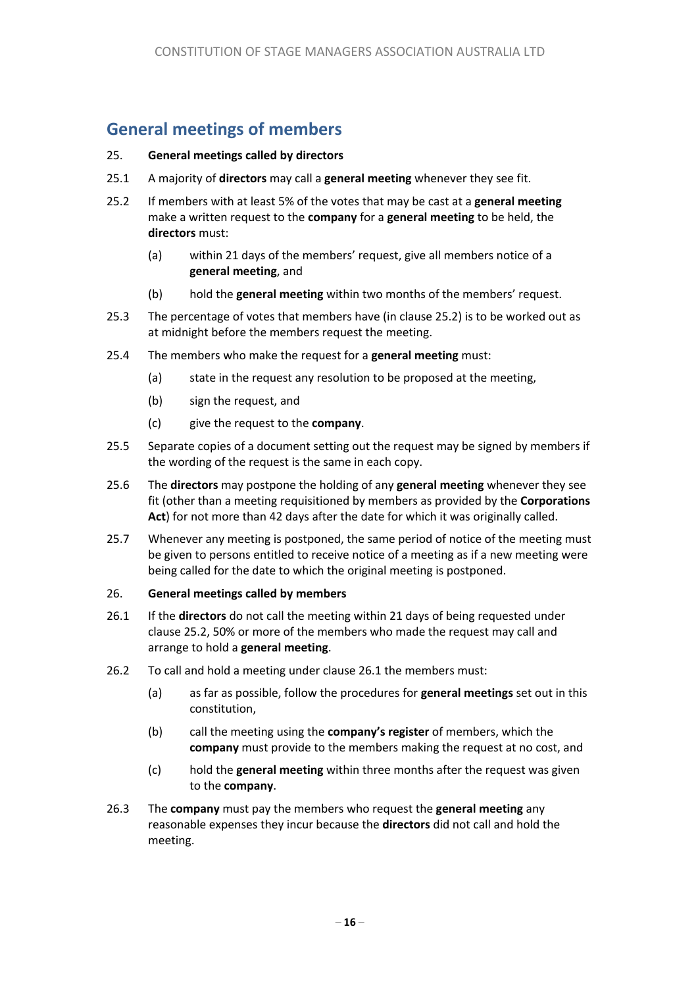# **General meetings of members**

#### 25. **General meetings called by directors**

- 25.1 A majority of **directors** may call a **general meeting** whenever they see fit.
- 25.2 If members with at least 5% of the votes that may be cast at a **general meeting**  make a written request to the **company** for a **general meeting** to be held, the **directors** must:
	- (a) within 21 days of the members' request, give all members notice of a **general meeting**, and
	- (b) hold the **general meeting** within two months of the members' request.
- 25.3 The percentage of votes that members have (in clause 25.2) is to be worked out as at midnight before the members request the meeting.
- 25.4 The members who make the request for a **general meeting** must:
	- (a) state in the request any resolution to be proposed at the meeting,
	- (b) sign the request, and
	- (c) give the request to the **company**.
- 25.5 Separate copies of a document setting out the request may be signed by members if the wording of the request is the same in each copy.
- 25.6 The **directors** may postpone the holding of any **general meeting** whenever they see fit (other than a meeting requisitioned by members as provided by the **Corporations Act**) for not more than 42 days after the date for which it was originally called.
- 25.7 Whenever any meeting is postponed, the same period of notice of the meeting must be given to persons entitled to receive notice of a meeting as if a new meeting were being called for the date to which the original meeting is postponed.

#### 26. **General meetings called by members**

- 26.1 If the **directors** do not call the meeting within 21 days of being requested under clause 25.2, 50% or more of the members who made the request may call and arrange to hold a **general meeting**.
- 26.2 To call and hold a meeting under clause 26.1 the members must:
	- (a) as far as possible, follow the procedures for **general meetings** set out in this constitution,
	- (b) call the meeting using the **company's register** of members, which the **company** must provide to the members making the request at no cost, and
	- (c) hold the **general meeting** within three months after the request was given to the **company**.
- 26.3 The **company** must pay the members who request the **general meeting** any reasonable expenses they incur because the **directors** did not call and hold the meeting.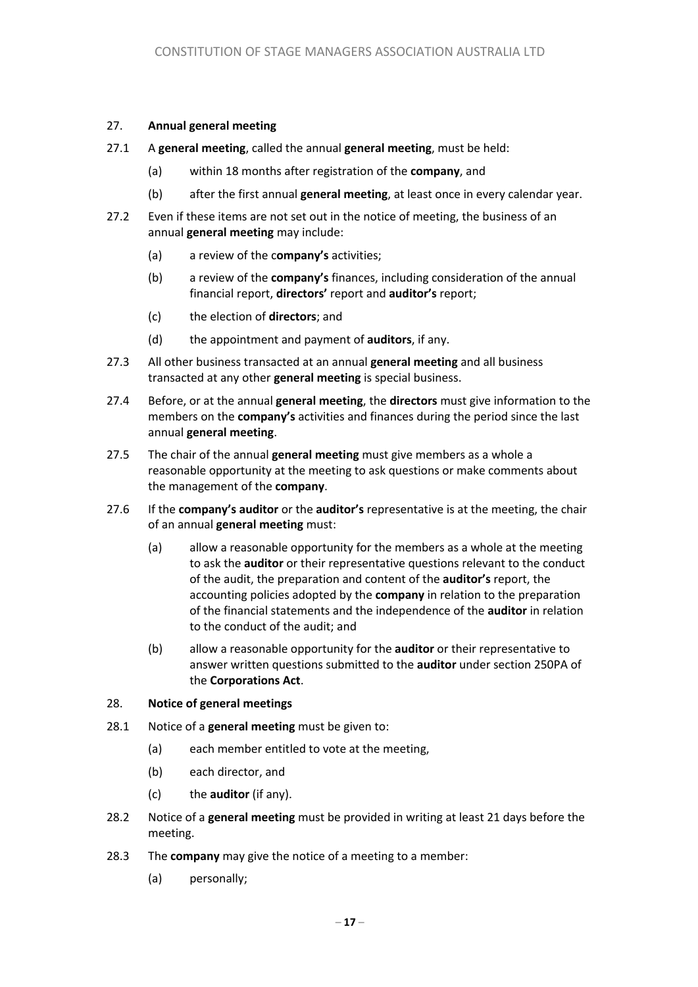#### 27. **Annual general meeting**

- 27.1 A **general meeting**, called the annual **general meeting**, must be held:
	- (a) within 18 months after registration of the **company**, and
	- (b) after the first annual **general meeting**, at least once in every calendar year.
- 27.2 Even if these items are not set out in the notice of meeting, the business of an annual **general meeting** may include:
	- (a) a review of the c**ompany's** activities;
	- (b) a review of the **company's** finances, including consideration of the annual financial report, **directors'** report and **auditor's** report;
	- (c) the election of **directors**; and
	- (d) the appointment and payment of **auditors**, if any.
- 27.3 All other business transacted at an annual **general meeting** and all business transacted at any other **general meeting** is special business.
- 27.4 Before, or at the annual **general meeting**, the **directors** must give information to the members on the **company's** activities and finances during the period since the last annual **general meeting**.
- 27.5 The chair of the annual **general meeting** must give members as a whole a reasonable opportunity at the meeting to ask questions or make comments about the management of the **company**.
- 27.6 If the **company's auditor** or the **auditor's** representative is at the meeting, the chair of an annual **general meeting** must:
	- (a) allow a reasonable opportunity for the members as a whole at the meeting to ask the **auditor** or their representative questions relevant to the conduct of the audit, the preparation and content of the **auditor's** report, the accounting policies adopted by the **company** in relation to the preparation of the financial statements and the independence of the **auditor** in relation to the conduct of the audit; and
	- (b) allow a reasonable opportunity for the **auditor** or their representative to answer written questions submitted to the **auditor** under section 250PA of the **Corporations Act**.

#### 28. **Notice of general meetings**

- 28.1 Notice of a **general meeting** must be given to:
	- (a) each member entitled to vote at the meeting,
	- (b) each director, and
	- (c) the **auditor** (if any).
- 28.2 Notice of a **general meeting** must be provided in writing at least 21 days before the meeting.
- 28.3 The **company** may give the notice of a meeting to a member:
	- (a) personally;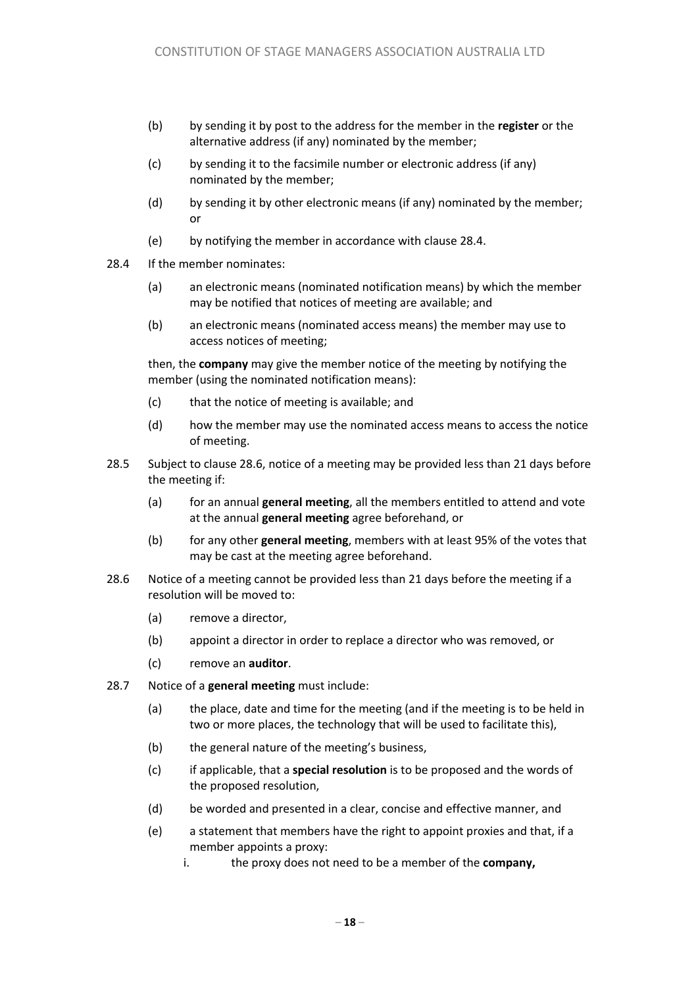- (b) by sending it by post to the address for the member in the **register** or the alternative address (if any) nominated by the member;
- (c) by sending it to the facsimile number or electronic address (if any) nominated by the member;
- (d) by sending it by other electronic means (if any) nominated by the member; or
- (e) by notifying the member in accordance with clause 28.4.
- 28.4 If the member nominates:
	- (a) an electronic means (nominated notification means) by which the member may be notified that notices of meeting are available; and
	- (b) an electronic means (nominated access means) the member may use to access notices of meeting;

then, the **company** may give the member notice of the meeting by notifying the member (using the nominated notification means):

- (c) that the notice of meeting is available; and
- (d) how the member may use the nominated access means to access the notice of meeting.
- 28.5 Subject to clause 28.6, notice of a meeting may be provided less than 21 days before the meeting if:
	- (a) for an annual **general meeting**, all the members entitled to attend and vote at the annual **general meeting** agree beforehand, or
	- (b) for any other **general meeting**, members with at least 95% of the votes that may be cast at the meeting agree beforehand.
- 28.6 Notice of a meeting cannot be provided less than 21 days before the meeting if a resolution will be moved to:
	- (a) remove a director,
	- (b) appoint a director in order to replace a director who was removed, or
	- (c) remove an **auditor**.
- 28.7 Notice of a **general meeting** must include:
	- (a) the place, date and time for the meeting (and if the meeting is to be held in two or more places, the technology that will be used to facilitate this),
	- (b) the general nature of the meeting's business,
	- (c) if applicable, that a **special resolution** is to be proposed and the words of the proposed resolution,
	- (d) be worded and presented in a clear, concise and effective manner, and
	- (e) a statement that members have the right to appoint proxies and that, if a member appoints a proxy:
		- i. the proxy does not need to be a member of the **company,**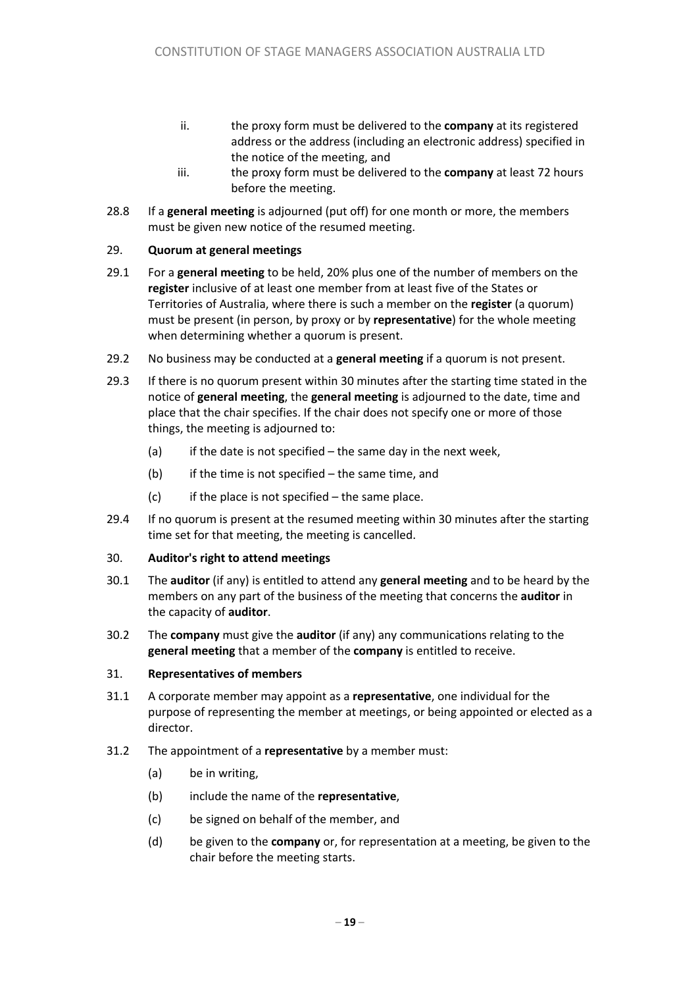- ii. the proxy form must be delivered to the **company** at its registered address or the address (including an electronic address) specified in the notice of the meeting, and
- iii. the proxy form must be delivered to the **company** at least 72 hours before the meeting.
- 28.8 If a **general meeting** is adjourned (put off) for one month or more, the members must be given new notice of the resumed meeting.

#### 29. **Quorum at general meetings**

- 29.1 For a **general meeting** to be held, 20% plus one of the number of members on the **register** inclusive of at least one member from at least five of the States or Territories of Australia, where there is such a member on the **register** (a quorum) must be present (in person, by proxy or by **representative**) for the whole meeting when determining whether a quorum is present.
- 29.2 No business may be conducted at a **general meeting** if a quorum is not present.
- 29.3 If there is no quorum present within 30 minutes after the starting time stated in the notice of **general meeting**, the **general meeting** is adjourned to the date, time and place that the chair specifies. If the chair does not specify one or more of those things, the meeting is adjourned to:
	- (a) if the date is not specified the same day in the next week,
	- $(b)$  if the time is not specified the same time, and
	- $(c)$  if the place is not specified the same place.
- 29.4 If no quorum is present at the resumed meeting within 30 minutes after the starting time set for that meeting, the meeting is cancelled.

#### 30. **Auditor's right to attend meetings**

- 30.1 The **auditor** (if any) is entitled to attend any **general meeting** and to be heard by the members on any part of the business of the meeting that concerns the **auditor** in the capacity of **auditor**.
- 30.2 The **company** must give the **auditor** (if any) any communications relating to the **general meeting** that a member of the **company** is entitled to receive.

#### 31. **Representatives of members**

- 31.1 A corporate member may appoint as a **representative**, one individual for the purpose of representing the member at meetings, or being appointed or elected as a director.
- 31.2 The appointment of a **representative** by a member must:
	- (a) be in writing,
	- (b) include the name of the **representative**,
	- (c) be signed on behalf of the member, and
	- (d) be given to the **company** or, for representation at a meeting, be given to the chair before the meeting starts.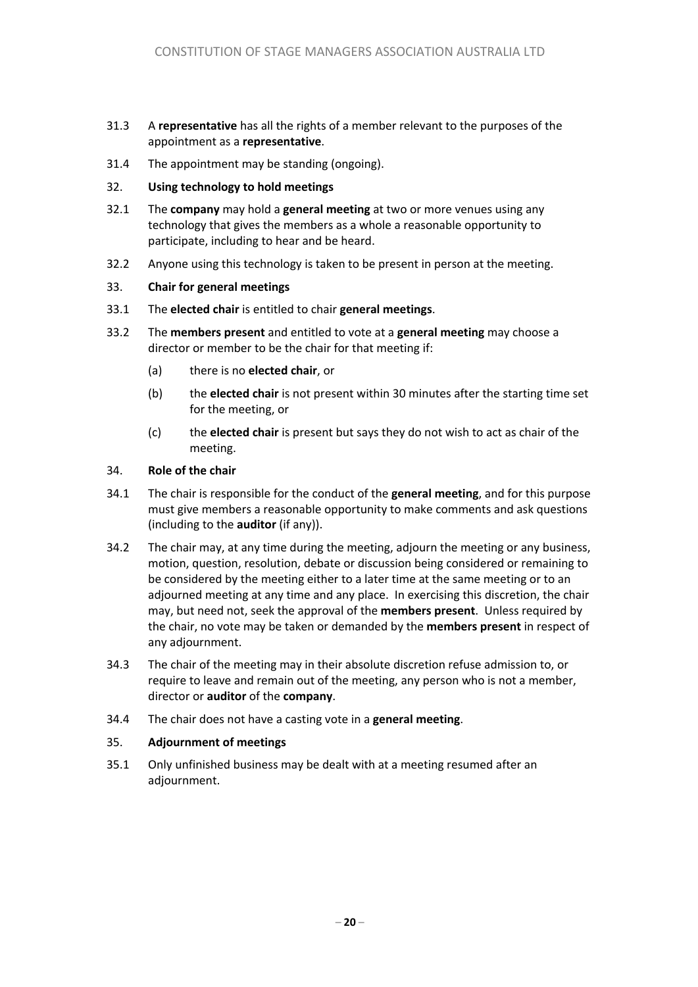- 31.3 A **representative** has all the rights of a member relevant to the purposes of the appointment as a **representative**.
- 31.4 The appointment may be standing (ongoing).
- 32. **Using technology to hold meetings**
- 32.1 The **company** may hold a **general meeting** at two or more venues using any technology that gives the members as a whole a reasonable opportunity to participate, including to hear and be heard.
- 32.2 Anyone using this technology is taken to be present in person at the meeting.
- 33. **Chair for general meetings**
- 33.1 The **elected chair** is entitled to chair **general meetings**.
- 33.2 The **members present** and entitled to vote at a **general meeting** may choose a director or member to be the chair for that meeting if:
	- (a) there is no **elected chair**, or
	- (b) the **elected chair** is not present within 30 minutes after the starting time set for the meeting, or
	- (c) the **elected chair** is present but says they do not wish to act as chair of the meeting.

#### 34. **Role of the chair**

- 34.1 The chair is responsible for the conduct of the **general meeting**, and for this purpose must give members a reasonable opportunity to make comments and ask questions (including to the **auditor** (if any)).
- 34.2 The chair may, at any time during the meeting, adjourn the meeting or any business, motion, question, resolution, debate or discussion being considered or remaining to be considered by the meeting either to a later time at the same meeting or to an adjourned meeting at any time and any place. In exercising this discretion, the chair may, but need not, seek the approval of the **members present**. Unless required by the chair, no vote may be taken or demanded by the **members present** in respect of any adjournment.
- 34.3 The chair of the meeting may in their absolute discretion refuse admission to, or require to leave and remain out of the meeting, any person who is not a member, director or **auditor** of the **company**.
- 34.4 The chair does not have a casting vote in a **general meeting**.

#### 35. **Adjournment of meetings**

35.1 Only unfinished business may be dealt with at a meeting resumed after an adjournment.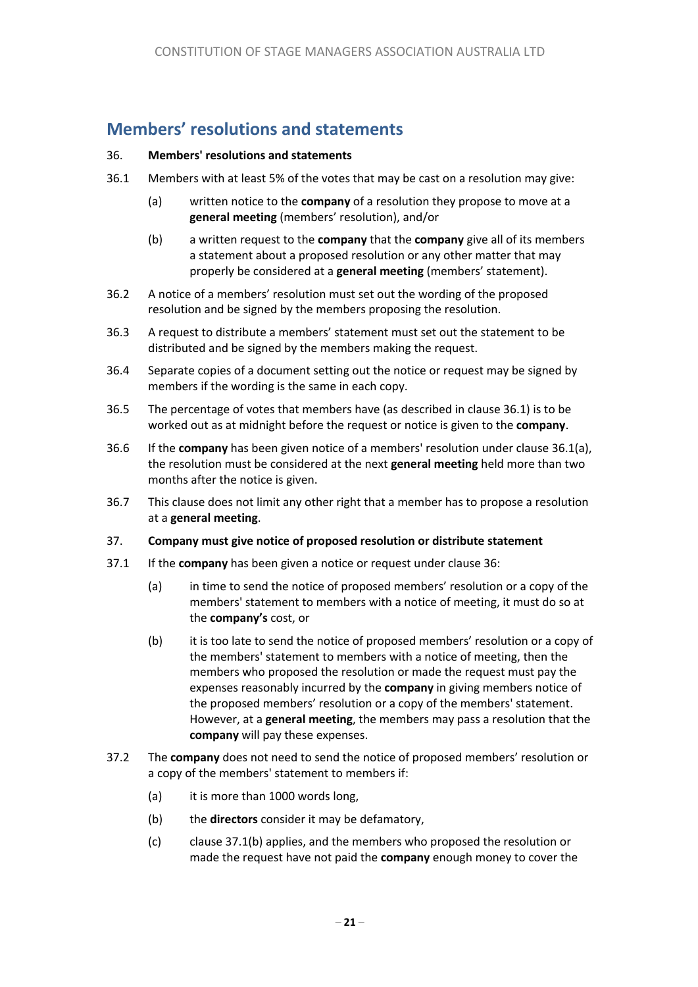# **Members' resolutions and statements**

#### 36. **Members' resolutions and statements**

- 36.1 Members with at least 5% of the votes that may be cast on a resolution may give:
	- (a) written notice to the **company** of a resolution they propose to move at a **general meeting** (members' resolution), and/or
	- (b) a written request to the **company** that the **company** give all of its members a statement about a proposed resolution or any other matter that may properly be considered at a **general meeting** (members' statement).
- 36.2 A notice of a members' resolution must set out the wording of the proposed resolution and be signed by the members proposing the resolution.
- 36.3 A request to distribute a members' statement must set out the statement to be distributed and be signed by the members making the request.
- 36.4 Separate copies of a document setting out the notice or request may be signed by members if the wording is the same in each copy.
- 36.5 The percentage of votes that members have (as described in clause 36.1) is to be worked out as at midnight before the request or notice is given to the **company**.
- 36.6 If the **company** has been given notice of a members' resolution under clause 36.1(a), the resolution must be considered at the next **general meeting** held more than two months after the notice is given.
- 36.7 This clause does not limit any other right that a member has to propose a resolution at a **general meeting**.

#### 37. **Company must give notice of proposed resolution or distribute statement**

- 37.1 If the **company** has been given a notice or request under clause 36:
	- (a) in time to send the notice of proposed members' resolution or a copy of the members' statement to members with a notice of meeting, it must do so at the **company's** cost, or
	- (b) it is too late to send the notice of proposed members' resolution or a copy of the members' statement to members with a notice of meeting, then the members who proposed the resolution or made the request must pay the expenses reasonably incurred by the **company** in giving members notice of the proposed members' resolution or a copy of the members' statement. However, at a **general meeting**, the members may pass a resolution that the **company** will pay these expenses.
- 37.2 The **company** does not need to send the notice of proposed members' resolution or a copy of the members' statement to members if:
	- (a) it is more than 1000 words long,
	- (b) the **directors** consider it may be defamatory,
	- (c) clause 37.1(b) applies, and the members who proposed the resolution or made the request have not paid the **company** enough money to cover the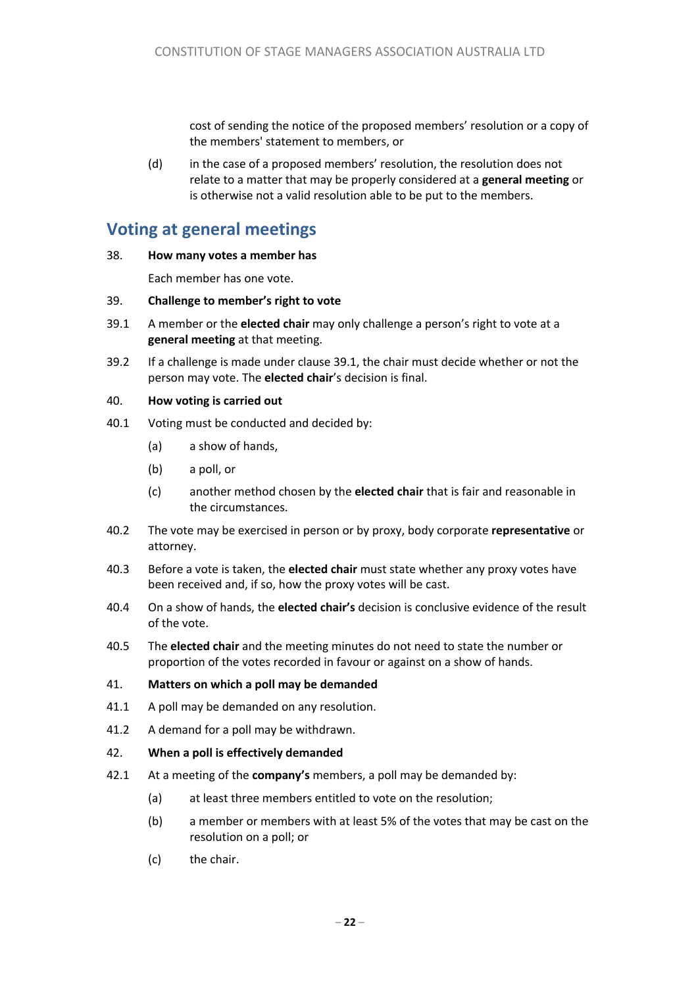cost of sending the notice of the proposed members' resolution or a copy of the members' statement to members, or

(d) in the case of a proposed members' resolution, the resolution does not relate to a matter that may be properly considered at a **general meeting** or is otherwise not a valid resolution able to be put to the members.

# **Voting at general meetings**

#### 38. **How many votes a member has**

Each member has one vote.

#### 39. **Challenge to member's right to vote**

- 39.1 A member or the **elected chair** may only challenge a person's right to vote at a **general meeting** at that meeting.
- 39.2 If a challenge is made under clause 39.1, the chair must decide whether or not the person may vote. The **elected chair**'s decision is final.

#### 40. **How voting is carried out**

- 40.1 Voting must be conducted and decided by:
	- (a) a show of hands,
	- (b) a poll, or
	- (c) another method chosen by the **elected chair** that is fair and reasonable in the circumstances.
- 40.2 The vote may be exercised in person or by proxy, body corporate **representative** or attorney.
- 40.3 Before a vote is taken, the **elected chair** must state whether any proxy votes have been received and, if so, how the proxy votes will be cast.
- 40.4 On a show of hands, the **elected chair's** decision is conclusive evidence of the result of the vote.
- 40.5 The **elected chair** and the meeting minutes do not need to state the number or proportion of the votes recorded in favour or against on a show of hands.

#### 41. **Matters on which a poll may be demanded**

- 41.1 A poll may be demanded on any resolution.
- 41.2 A demand for a poll may be withdrawn.

#### 42. **When a poll is effectively demanded**

- 42.1 At a meeting of the **company's** members, a poll may be demanded by:
	- (a) at least three members entitled to vote on the resolution;
	- (b) a member or members with at least 5% of the votes that may be cast on the resolution on a poll; or
	- (c) the chair.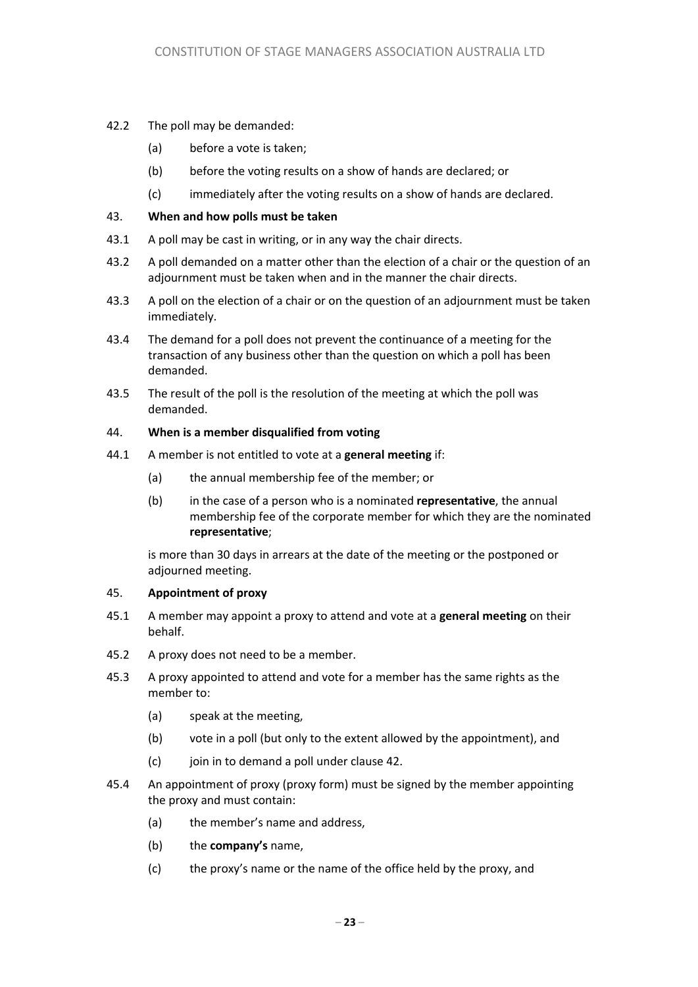- 42.2 The poll may be demanded:
	- (a) before a vote is taken;
	- (b) before the voting results on a show of hands are declared; or
	- (c) immediately after the voting results on a show of hands are declared.

#### 43. **When and how polls must be taken**

- 43.1 A poll may be cast in writing, or in any way the chair directs.
- 43.2 A poll demanded on a matter other than the election of a chair or the question of an adjournment must be taken when and in the manner the chair directs.
- 43.3 A poll on the election of a chair or on the question of an adjournment must be taken immediately.
- 43.4 The demand for a poll does not prevent the continuance of a meeting for the transaction of any business other than the question on which a poll has been demanded.
- 43.5 The result of the poll is the resolution of the meeting at which the poll was demanded.

#### 44. **When is a member disqualified from voting**

- 44.1 A member is not entitled to vote at a **general meeting** if:
	- (a) the annual membership fee of the member; or
	- (b) in the case of a person who is a nominated **representative**, the annual membership fee of the corporate member for which they are the nominated **representative**;

is more than 30 days in arrears at the date of the meeting or the postponed or adjourned meeting.

#### 45. **Appointment of proxy**

- 45.1 A member may appoint a proxy to attend and vote at a **general meeting** on their behalf.
- 45.2 A proxy does not need to be a member.
- 45.3 A proxy appointed to attend and vote for a member has the same rights as the member to:
	- (a) speak at the meeting,
	- (b) vote in a poll (but only to the extent allowed by the appointment), and
	- (c) join in to demand a poll under clause 42.
- 45.4 An appointment of proxy (proxy form) must be signed by the member appointing the proxy and must contain:
	- (a) the member's name and address,
	- (b) the **company's** name,
	- (c) the proxy's name or the name of the office held by the proxy, and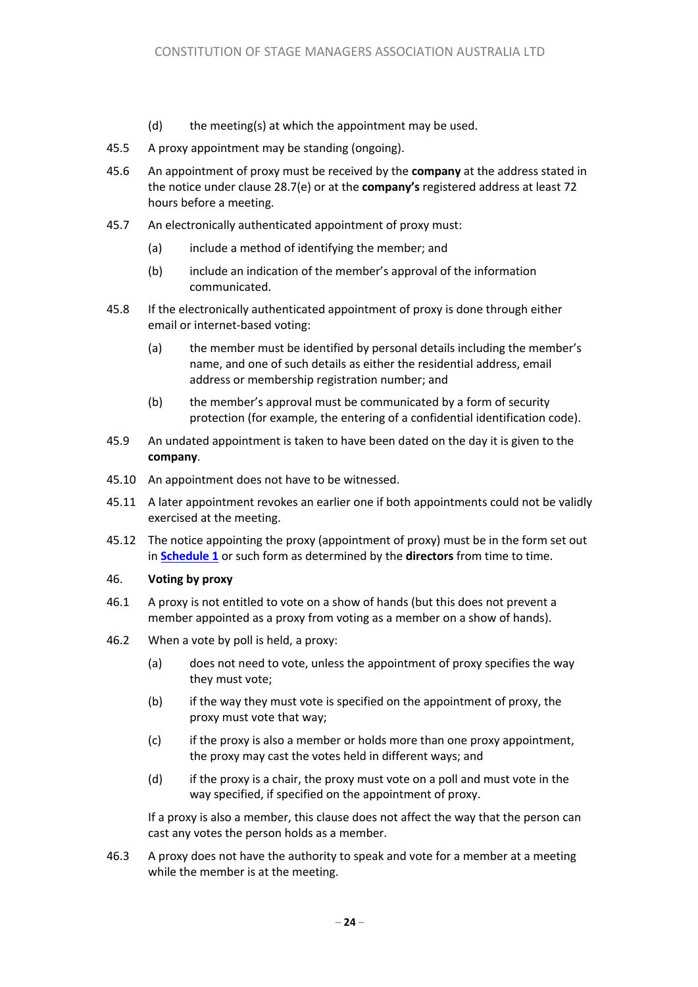- (d) the meeting(s) at which the appointment may be used.
- 45.5 A proxy appointment may be standing (ongoing).
- 45.6 An appointment of proxy must be received by the **company** at the address stated in the notice under clause 28.7(e) or at the **company's** registered address at least 72 hours before a meeting.
- 45.7 An electronically authenticated appointment of proxy must:
	- (a) include a method of identifying the member; and
	- (b) include an indication of the member's approval of the information communicated.
- 45.8 If the electronically authenticated appointment of proxy is done through either email or internet-based voting:
	- (a) the member must be identified by personal details including the member's name, and one of such details as either the residential address, email address or membership registration number; and
	- (b) the member's approval must be communicated by a form of security protection (for example, the entering of a confidential identification code).
- 45.9 An undated appointment is taken to have been dated on the day it is given to the **company**.
- 45.10 An appointment does not have to be witnessed.
- 45.11 A later appointment revokes an earlier one if both appointments could not be validly exercised at the meeting.
- 45.12 The notice appointing the proxy (appointment of proxy) must be in the form set out in **Schedule 1** or such form as determined by the **directors** from time to time.

#### 46. **Voting by proxy**

- 46.1 A proxy is not entitled to vote on a show of hands (but this does not prevent a member appointed as a proxy from voting as a member on a show of hands).
- 46.2 When a vote by poll is held, a proxy:
	- (a) does not need to vote, unless the appointment of proxy specifies the way they must vote;
	- (b) if the way they must vote is specified on the appointment of proxy, the proxy must vote that way;
	- (c) if the proxy is also a member or holds more than one proxy appointment, the proxy may cast the votes held in different ways; and
	- (d) if the proxy is a chair, the proxy must vote on a poll and must vote in the way specified, if specified on the appointment of proxy.

If a proxy is also a member, this clause does not affect the way that the person can cast any votes the person holds as a member.

46.3 A proxy does not have the authority to speak and vote for a member at a meeting while the member is at the meeting.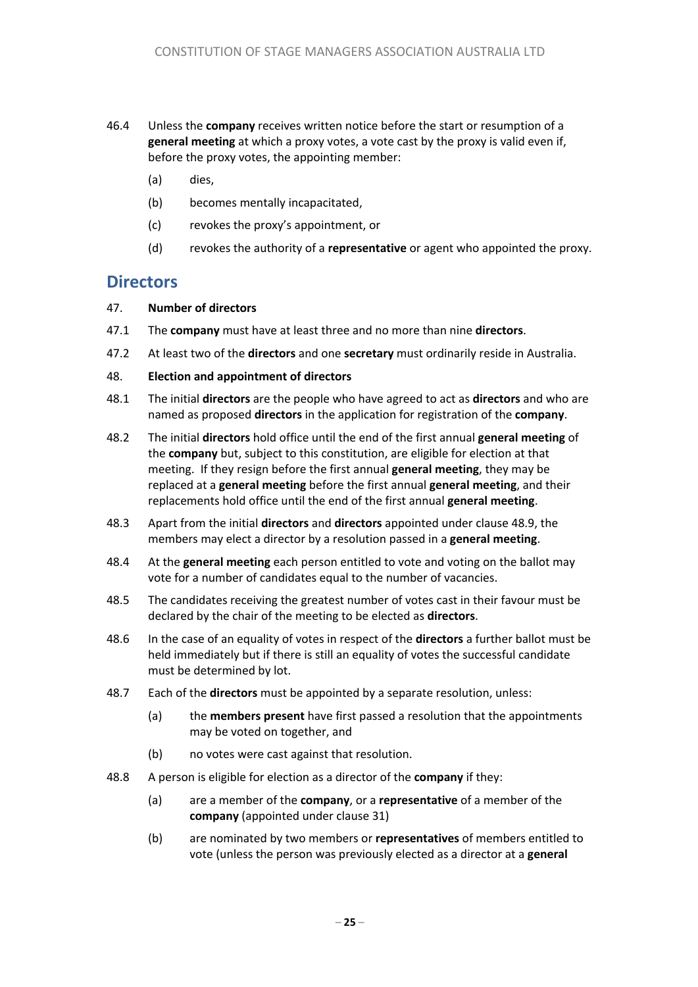- 46.4 Unless the **company** receives written notice before the start or resumption of a **general meeting** at which a proxy votes, a vote cast by the proxy is valid even if, before the proxy votes, the appointing member:
	- (a) dies,
	- (b) becomes mentally incapacitated,
	- (c) revokes the proxy's appointment, or
	- (d) revokes the authority of a **representative** or agent who appointed the proxy.

### **Directors**

- 47. **Number of directors**
- 47.1 The **company** must have at least three and no more than nine **directors**.
- 47.2 At least two of the **directors** and one **secretary** must ordinarily reside in Australia.
- 48. **Election and appointment of directors**
- 48.1 The initial **directors** are the people who have agreed to act as **directors** and who are named as proposed **directors** in the application for registration of the **company**.
- 48.2 The initial **directors** hold office until the end of the first annual **general meeting** of the **company** but, subject to this constitution, are eligible for election at that meeting. If they resign before the first annual **general meeting**, they may be replaced at a **general meeting** before the first annual **general meeting**, and their replacements hold office until the end of the first annual **general meeting**.
- 48.3 Apart from the initial **directors** and **directors** appointed under clause 48.9, the members may elect a director by a resolution passed in a **general meeting**.
- 48.4 At the **general meeting** each person entitled to vote and voting on the ballot may vote for a number of candidates equal to the number of vacancies.
- 48.5 The candidates receiving the greatest number of votes cast in their favour must be declared by the chair of the meeting to be elected as **directors**.
- 48.6 In the case of an equality of votes in respect of the **directors** a further ballot must be held immediately but if there is still an equality of votes the successful candidate must be determined by lot.
- 48.7 Each of the **directors** must be appointed by a separate resolution, unless:
	- (a) the **members present** have first passed a resolution that the appointments may be voted on together, and
	- (b) no votes were cast against that resolution.
- 48.8 A person is eligible for election as a director of the **company** if they:
	- (a) are a member of the **company**, or a **representative** of a member of the **company** (appointed under clause 31)
	- (b) are nominated by two members or **representatives** of members entitled to vote (unless the person was previously elected as a director at a **general**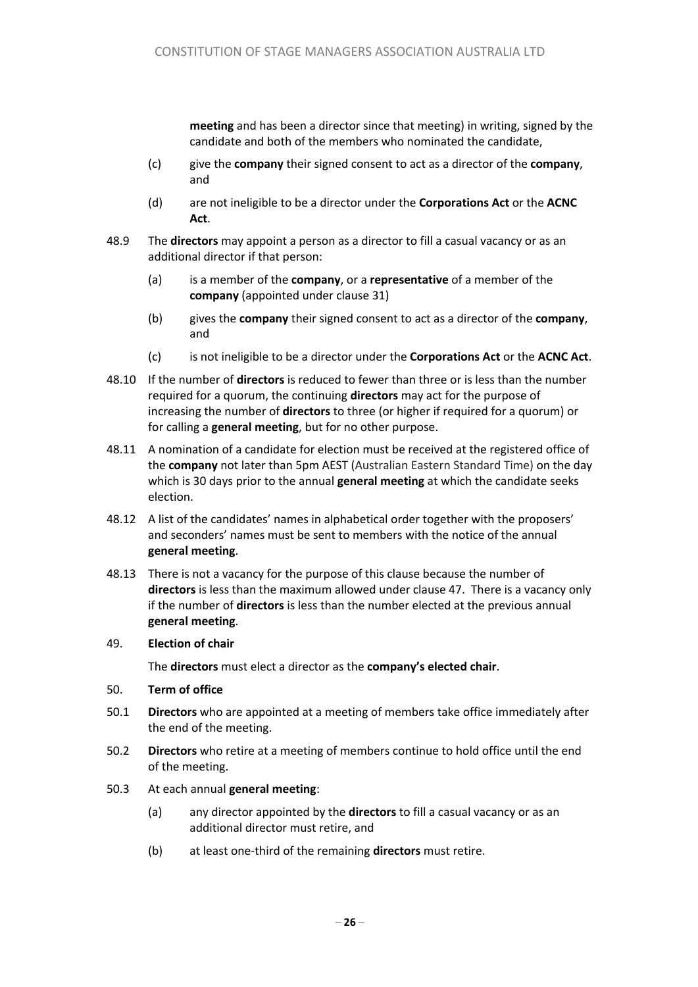**meeting** and has been a director since that meeting) in writing, signed by the candidate and both of the members who nominated the candidate,

- (c) give the **company** their signed consent to act as a director of the **company**, and
- (d) are not ineligible to be a director under the **Corporations Act** or the **ACNC Act**.
- 48.9 The **directors** may appoint a person as a director to fill a casual vacancy or as an additional director if that person:
	- (a) is a member of the **company**, or a **representative** of a member of the **company** (appointed under clause 31)
	- (b) gives the **company** their signed consent to act as a director of the **company**, and
	- (c) is not ineligible to be a director under the **Corporations Act** or the **ACNC Act**.
- 48.10 If the number of **directors** is reduced to fewer than three or is less than the number required for a quorum, the continuing **directors** may act for the purpose of increasing the number of **directors** to three (or higher if required for a quorum) or for calling a **general meeting**, but for no other purpose.
- 48.11 A nomination of a candidate for election must be received at the registered office of the **company** not later than 5pm AEST (Australian Eastern Standard Time) on the day which is 30 days prior to the annual **general meeting** at which the candidate seeks election.
- 48.12 A list of the candidates' names in alphabetical order together with the proposers' and seconders' names must be sent to members with the notice of the annual **general meeting**.
- 48.13 There is not a vacancy for the purpose of this clause because the number of **directors** is less than the maximum allowed under clause 47. There is a vacancy only if the number of **directors** is less than the number elected at the previous annual **general meeting**.
- 49. **Election of chair**

The **directors** must elect a director as the **company's elected chair**.

- 50. **Term of office**
- 50.1 **Directors** who are appointed at a meeting of members take office immediately after the end of the meeting.
- 50.2 **Directors** who retire at a meeting of members continue to hold office until the end of the meeting.
- 50.3 At each annual **general meeting**:
	- (a) any director appointed by the **directors** to fill a casual vacancy or as an additional director must retire, and
	- (b) at least one-third of the remaining **directors** must retire.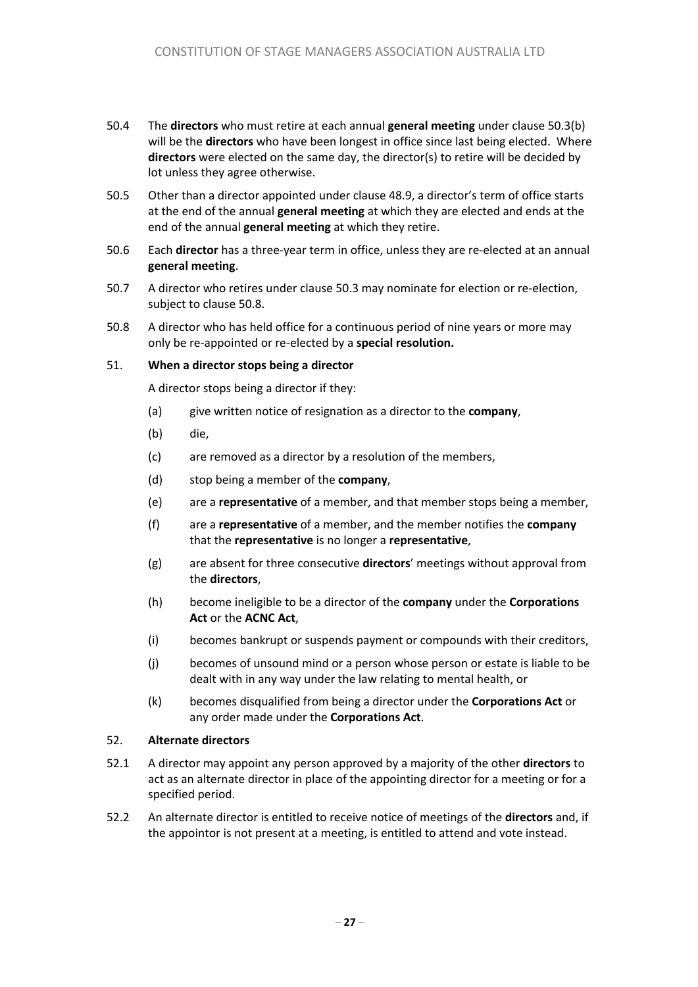- 50.4 The **directors** who must retire at each annual **general meeting** under clause 50.3(b) will be the **directors** who have been longest in office since last being elected. Where **directors** were elected on the same day, the director(s) to retire will be decided by lot unless they agree otherwise.
- 50.5 Other than a director appointed under clause 48.9, a director's term of office starts at the end of the annual **general meeting** at which they are elected and ends at the end of the annual **general meeting** at which they retire.
- 50.6 Each **director** has a three-year term in office, unless they are re-elected at an annual **general meeting**.
- 50.7 A director who retires under clause 50.3 may nominate for election or re-election, subject to clause 50.8.
- 50.8 A director who has held office for a continuous period of nine years or more may only be re-appointed or re-elected by a **special resolution.**

#### 51. **When a director stops being a director**

A director stops being a director if they:

- (a) give written notice of resignation as a director to the **company**,
- (b) die,
- (c) are removed as a director by a resolution of the members,
- (d) stop being a member of the **company**,
- (e) are a **representative** of a member, and that member stops being a member,
- (f) are a **representative** of a member, and the member notifies the **company** that the **representative** is no longer a **representative**,
- (g) are absent for three consecutive **directors**' meetings without approval from the **directors**,
- (h) become ineligible to be a director of the **company** under the **Corporations Act** or the **ACNC Act**,
- (i) becomes bankrupt or suspends payment or compounds with their creditors,
- (j) becomes of unsound mind or a person whose person or estate is liable to be dealt with in any way under the law relating to mental health, or
- (k) becomes disqualified from being a director under the **Corporations Act** or any order made under the **Corporations Act**.

#### 52. **Alternate directors**

- 52.1 A director may appoint any person approved by a majority of the other **directors** to act as an alternate director in place of the appointing director for a meeting or for a specified period.
- 52.2 An alternate director is entitled to receive notice of meetings of the **directors** and, if the appointor is not present at a meeting, is entitled to attend and vote instead.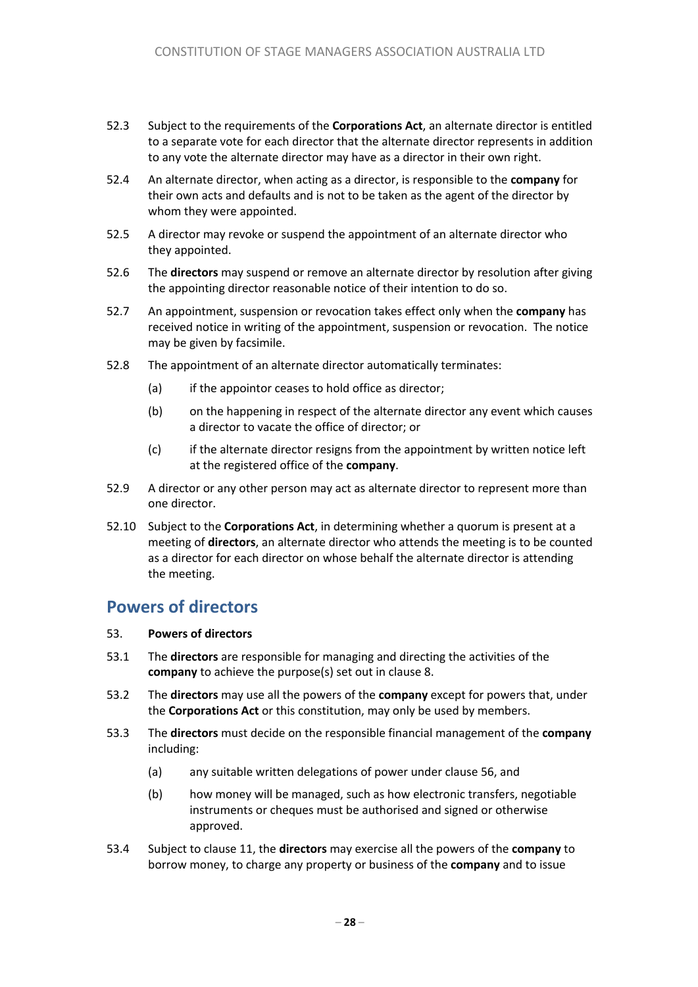- 52.3 Subject to the requirements of the **Corporations Act**, an alternate director is entitled to a separate vote for each director that the alternate director represents in addition to any vote the alternate director may have as a director in their own right.
- 52.4 An alternate director, when acting as a director, is responsible to the **company** for their own acts and defaults and is not to be taken as the agent of the director by whom they were appointed.
- 52.5 A director may revoke or suspend the appointment of an alternate director who they appointed.
- 52.6 The **directors** may suspend or remove an alternate director by resolution after giving the appointing director reasonable notice of their intention to do so.
- 52.7 An appointment, suspension or revocation takes effect only when the **company** has received notice in writing of the appointment, suspension or revocation. The notice may be given by facsimile.
- 52.8 The appointment of an alternate director automatically terminates:
	- (a) if the appointor ceases to hold office as director;
	- (b) on the happening in respect of the alternate director any event which causes a director to vacate the office of director; or
	- (c) if the alternate director resigns from the appointment by written notice left at the registered office of the **company**.
- 52.9 A director or any other person may act as alternate director to represent more than one director.
- 52.10 Subject to the **Corporations Act**, in determining whether a quorum is present at a meeting of **directors**, an alternate director who attends the meeting is to be counted as a director for each director on whose behalf the alternate director is attending the meeting.

### **Powers of directors**

- 53. **Powers of directors**
- 53.1 The **directors** are responsible for managing and directing the activities of the **company** to achieve the purpose(s) set out in clause 8.
- 53.2 The **directors** may use all the powers of the **company** except for powers that, under the **Corporations Act** or this constitution, may only be used by members.
- 53.3 The **directors** must decide on the responsible financial management of the **company** including:
	- (a) any suitable written delegations of power under clause 56, and
	- (b) how money will be managed, such as how electronic transfers, negotiable instruments or cheques must be authorised and signed or otherwise approved.
- 53.4 Subject to clause 11, the **directors** may exercise all the powers of the **company** to borrow money, to charge any property or business of the **company** and to issue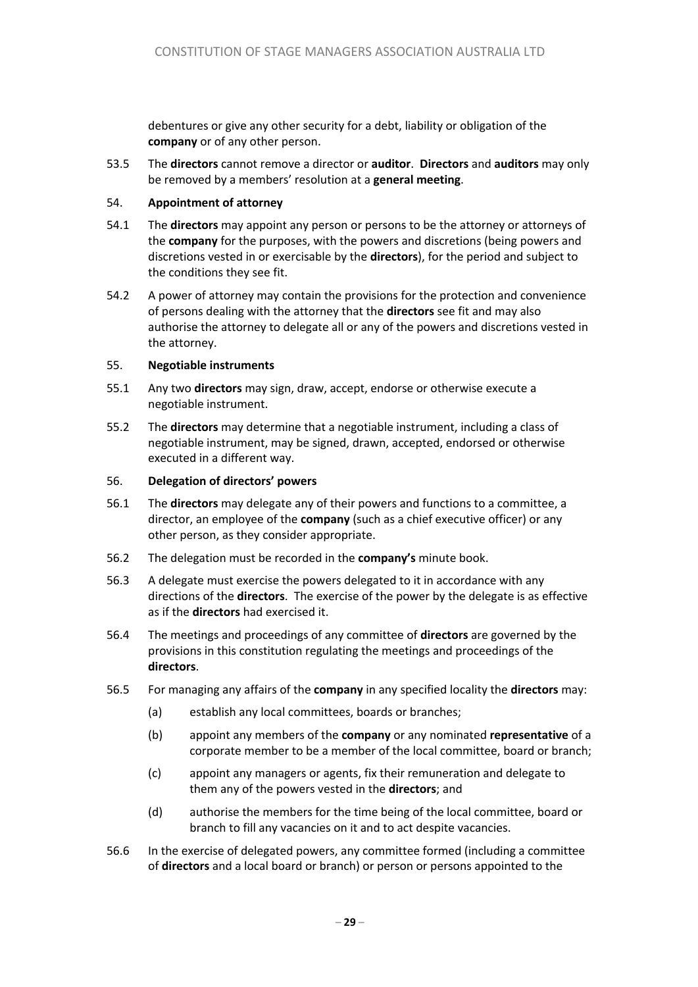debentures or give any other security for a debt, liability or obligation of the **company** or of any other person.

53.5 The **directors** cannot remove a director or **auditor**. **Directors** and **auditors** may only be removed by a members' resolution at a **general meeting**.

#### 54. **Appointment of attorney**

- 54.1 The **directors** may appoint any person or persons to be the attorney or attorneys of the **company** for the purposes, with the powers and discretions (being powers and discretions vested in or exercisable by the **directors**), for the period and subject to the conditions they see fit.
- 54.2 A power of attorney may contain the provisions for the protection and convenience of persons dealing with the attorney that the **directors** see fit and may also authorise the attorney to delegate all or any of the powers and discretions vested in the attorney.

#### 55. **Negotiable instruments**

- 55.1 Any two **directors** may sign, draw, accept, endorse or otherwise execute a negotiable instrument.
- 55.2 The **directors** may determine that a negotiable instrument, including a class of negotiable instrument, may be signed, drawn, accepted, endorsed or otherwise executed in a different way.

#### 56. **Delegation of directors' powers**

- 56.1 The **directors** may delegate any of their powers and functions to a committee, a director, an employee of the **company** (such as a chief executive officer) or any other person, as they consider appropriate.
- 56.2 The delegation must be recorded in the **company's** minute book.
- 56.3 A delegate must exercise the powers delegated to it in accordance with any directions of the **directors**. The exercise of the power by the delegate is as effective as if the **directors** had exercised it.
- 56.4 The meetings and proceedings of any committee of **directors** are governed by the provisions in this constitution regulating the meetings and proceedings of the **directors**.
- 56.5 For managing any affairs of the **company** in any specified locality the **directors** may:
	- (a) establish any local committees, boards or branches;
	- (b) appoint any members of the **company** or any nominated **representative** of a corporate member to be a member of the local committee, board or branch;
	- (c) appoint any managers or agents, fix their remuneration and delegate to them any of the powers vested in the **directors**; and
	- (d) authorise the members for the time being of the local committee, board or branch to fill any vacancies on it and to act despite vacancies.
- 56.6 In the exercise of delegated powers, any committee formed (including a committee of **directors** and a local board or branch) or person or persons appointed to the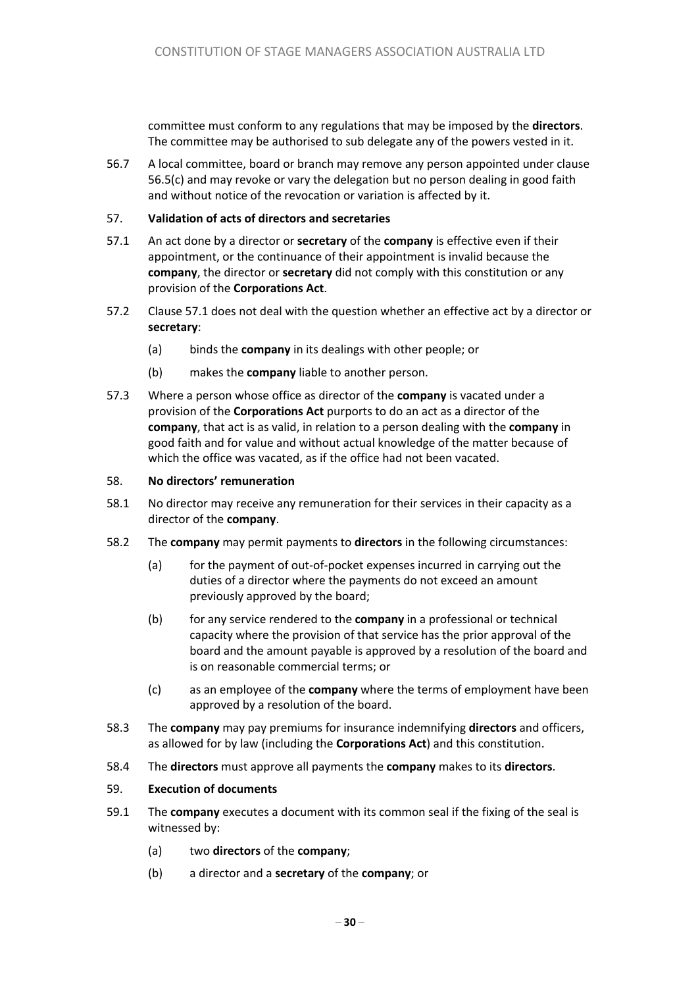committee must conform to any regulations that may be imposed by the **directors**. The committee may be authorised to sub delegate any of the powers vested in it.

56.7 A local committee, board or branch may remove any person appointed under clause 56.5(c) and may revoke or vary the delegation but no person dealing in good faith and without notice of the revocation or variation is affected by it.

#### 57. **Validation of acts of directors and secretaries**

- 57.1 An act done by a director or **secretary** of the **company** is effective even if their appointment, or the continuance of their appointment is invalid because the **company**, the director or **secretary** did not comply with this constitution or any provision of the **Corporations Act**.
- 57.2 Clause 57.1 does not deal with the question whether an effective act by a director or **secretary**:
	- (a) binds the **company** in its dealings with other people; or
	- (b) makes the **company** liable to another person.
- 57.3 Where a person whose office as director of the **company** is vacated under a provision of the **Corporations Act** purports to do an act as a director of the **company**, that act is as valid, in relation to a person dealing with the **company** in good faith and for value and without actual knowledge of the matter because of which the office was vacated, as if the office had not been vacated.

#### 58. **No directors' remuneration**

- 58.1 No director may receive any remuneration for their services in their capacity as a director of the **company**.
- 58.2 The **company** may permit payments to **directors** in the following circumstances:
	- (a) for the payment of out-of-pocket expenses incurred in carrying out the duties of a director where the payments do not exceed an amount previously approved by the board;
	- (b) for any service rendered to the **company** in a professional or technical capacity where the provision of that service has the prior approval of the board and the amount payable is approved by a resolution of the board and is on reasonable commercial terms; or
	- (c) as an employee of the **company** where the terms of employment have been approved by a resolution of the board.
- 58.3 The **company** may pay premiums for insurance indemnifying **directors** and officers, as allowed for by law (including the **Corporations Act**) and this constitution.
- 58.4 The **directors** must approve all payments the **company** makes to its **directors**.

#### 59. **Execution of documents**

- 59.1 The **company** executes a document with its common seal if the fixing of the seal is witnessed by:
	- (a) two **directors** of the **company**;
	- (b) a director and a **secretary** of the **company**; or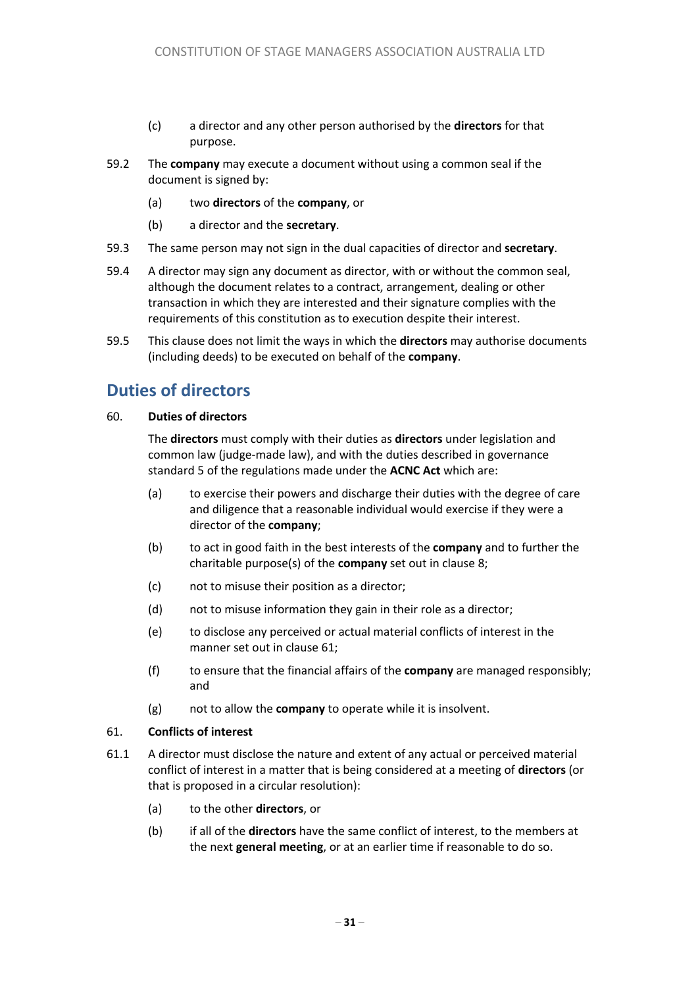- (c) a director and any other person authorised by the **directors** for that purpose.
- 59.2 The **company** may execute a document without using a common seal if the document is signed by:
	- (a) two **directors** of the **company**, or
	- (b) a director and the **secretary**.
- 59.3 The same person may not sign in the dual capacities of director and **secretary**.
- 59.4 A director may sign any document as director, with or without the common seal, although the document relates to a contract, arrangement, dealing or other transaction in which they are interested and their signature complies with the requirements of this constitution as to execution despite their interest.
- 59.5 This clause does not limit the ways in which the **directors** may authorise documents (including deeds) to be executed on behalf of the **company**.

# **Duties of directors**

#### 60. **Duties of directors**

The **directors** must comply with their duties as **directors** under legislation and common law (judge-made law), and with the duties described in governance standard 5 of the regulations made under the **ACNC Act** which are:

- (a) to exercise their powers and discharge their duties with the degree of care and diligence that a reasonable individual would exercise if they were a director of the **company**;
- (b) to act in good faith in the best interests of the **company** and to further the charitable purpose(s) of the **company** set out in clause 8;
- (c) not to misuse their position as a director;
- (d) not to misuse information they gain in their role as a director;
- (e) to disclose any perceived or actual material conflicts of interest in the manner set out in clause 61;
- (f) to ensure that the financial affairs of the **company** are managed responsibly; and
- (g) not to allow the **company** to operate while it is insolvent.

#### 61. **Conflicts of interest**

- 61.1 A director must disclose the nature and extent of any actual or perceived material conflict of interest in a matter that is being considered at a meeting of **directors** (or that is proposed in a circular resolution):
	- (a) to the other **directors**, or
	- (b) if all of the **directors** have the same conflict of interest, to the members at the next **general meeting**, or at an earlier time if reasonable to do so.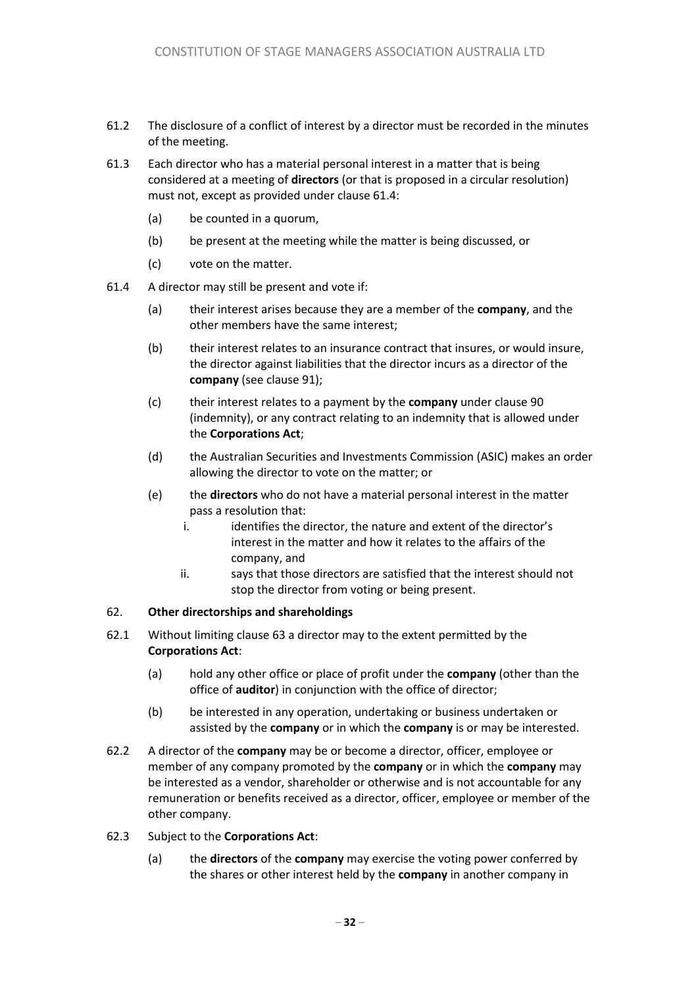- 61.2 The disclosure of a conflict of interest by a director must be recorded in the minutes of the meeting.
- 61.3 Each director who has a material personal interest in a matter that is being considered at a meeting of **directors** (or that is proposed in a circular resolution) must not, except as provided under clause 61.4:
	- (a) be counted in a quorum,
	- (b) be present at the meeting while the matter is being discussed, or
	- (c) vote on the matter.
- 61.4 A director may still be present and vote if:
	- (a) their interest arises because they are a member of the **company**, and the other members have the same interest;
	- (b) their interest relates to an insurance contract that insures, or would insure, the director against liabilities that the director incurs as a director of the **company** (see clause 91);
	- (c) their interest relates to a payment by the **company** under clause 90 (indemnity), or any contract relating to an indemnity that is allowed under the **Corporations Act**;
	- (d) the Australian Securities and Investments Commission (ASIC) makes an order allowing the director to vote on the matter; or
	- (e) the **directors** who do not have a material personal interest in the matter pass a resolution that:
		- i. identifies the director, the nature and extent of the director's interest in the matter and how it relates to the affairs of the company, and
		- ii. says that those directors are satisfied that the interest should not stop the director from voting or being present.

#### 62. **Other directorships and shareholdings**

- 62.1 Without limiting clause 63 a director may to the extent permitted by the **Corporations Act**:
	- (a) hold any other office or place of profit under the **company** (other than the office of **auditor**) in conjunction with the office of director;
	- (b) be interested in any operation, undertaking or business undertaken or assisted by the **company** or in which the **company** is or may be interested.
- 62.2 A director of the **company** may be or become a director, officer, employee or member of any company promoted by the **company** or in which the **company** may be interested as a vendor, shareholder or otherwise and is not accountable for any remuneration or benefits received as a director, officer, employee or member of the other company.
- 62.3 Subject to the **Corporations Act**:
	- (a) the **directors** of the **company** may exercise the voting power conferred by the shares or other interest held by the **company** in another company in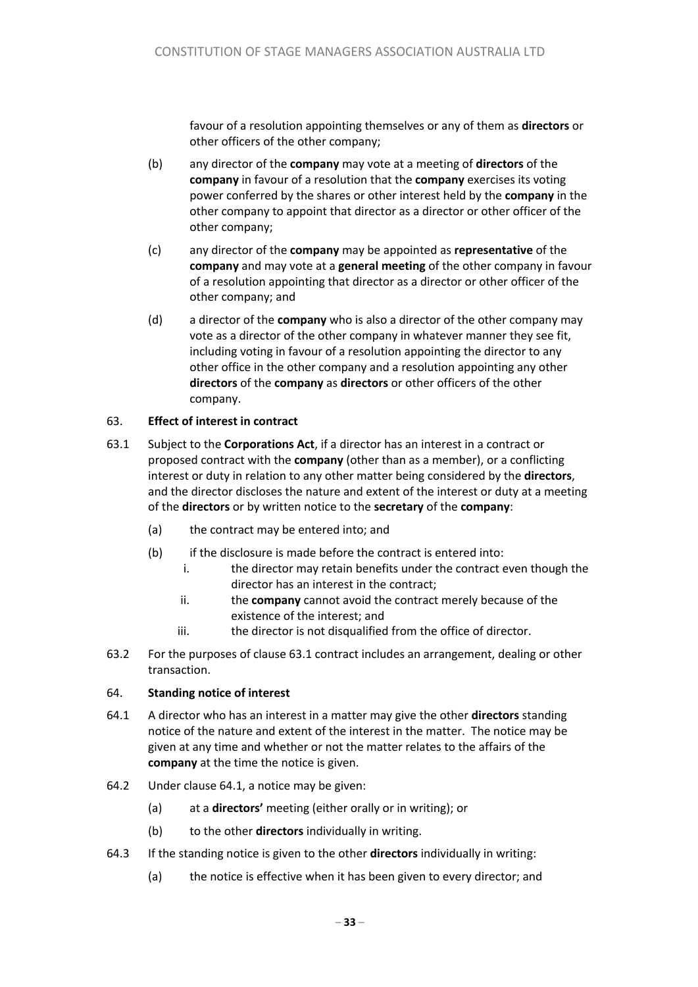favour of a resolution appointing themselves or any of them as **directors** or other officers of the other company;

- (b) any director of the **company** may vote at a meeting of **directors** of the **company** in favour of a resolution that the **company** exercises its voting power conferred by the shares or other interest held by the **company** in the other company to appoint that director as a director or other officer of the other company;
- (c) any director of the **company** may be appointed as **representative** of the **company** and may vote at a **general meeting** of the other company in favour of a resolution appointing that director as a director or other officer of the other company; and
- (d) a director of the **company** who is also a director of the other company may vote as a director of the other company in whatever manner they see fit, including voting in favour of a resolution appointing the director to any other office in the other company and a resolution appointing any other **directors** of the **company** as **directors** or other officers of the other company.

#### 63. **Effect of interest in contract**

- 63.1 Subject to the **Corporations Act**, if a director has an interest in a contract or proposed contract with the **company** (other than as a member), or a conflicting interest or duty in relation to any other matter being considered by the **directors**, and the director discloses the nature and extent of the interest or duty at a meeting of the **directors** or by written notice to the **secretary** of the **company**:
	- (a) the contract may be entered into; and
	- $(b)$  if the disclosure is made before the contract is entered into:
		- i. the director may retain benefits under the contract even though the director has an interest in the contract;
		- ii. the **company** cannot avoid the contract merely because of the existence of the interest; and
		- iii. the director is not disqualified from the office of director.
- 63.2 For the purposes of clause 63.1 contract includes an arrangement, dealing or other transaction.

#### 64. **Standing notice of interest**

- 64.1 A director who has an interest in a matter may give the other **directors** standing notice of the nature and extent of the interest in the matter. The notice may be given at any time and whether or not the matter relates to the affairs of the **company** at the time the notice is given.
- 64.2 Under clause 64.1, a notice may be given:
	- (a) at a **directors'** meeting (either orally or in writing); or
	- (b) to the other **directors** individually in writing.
- 64.3 If the standing notice is given to the other **directors** individually in writing:
	- (a) the notice is effective when it has been given to every director; and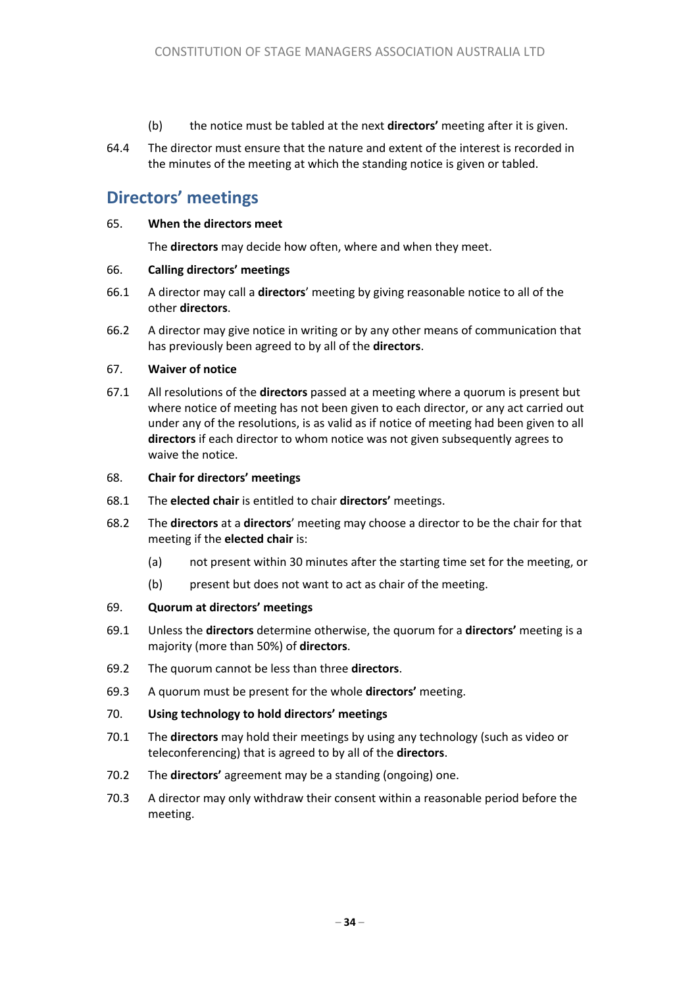- (b) the notice must be tabled at the next **directors'** meeting after it is given.
- 64.4 The director must ensure that the nature and extent of the interest is recorded in the minutes of the meeting at which the standing notice is given or tabled.

# **Directors' meetings**

#### 65. **When the directors meet**

The **directors** may decide how often, where and when they meet.

#### 66. **Calling directors' meetings**

- 66.1 A director may call a **directors**' meeting by giving reasonable notice to all of the other **directors**.
- 66.2 A director may give notice in writing or by any other means of communication that has previously been agreed to by all of the **directors**.

#### 67. **Waiver of notice**

67.1 All resolutions of the **directors** passed at a meeting where a quorum is present but where notice of meeting has not been given to each director, or any act carried out under any of the resolutions, is as valid as if notice of meeting had been given to all **directors** if each director to whom notice was not given subsequently agrees to waive the notice.

#### 68. **Chair for directors' meetings**

- 68.1 The **elected chair** is entitled to chair **directors'** meetings.
- 68.2 The **directors** at a **directors**' meeting may choose a director to be the chair for that meeting if the **elected chair** is:
	- (a) not present within 30 minutes after the starting time set for the meeting, or
	- (b) present but does not want to act as chair of the meeting.

#### 69. **Quorum at directors' meetings**

- 69.1 Unless the **directors** determine otherwise, the quorum for a **directors'** meeting is a majority (more than 50%) of **directors**.
- 69.2 The quorum cannot be less than three **directors**.
- 69.3 A quorum must be present for the whole **directors'** meeting.
- 70. **Using technology to hold directors' meetings**
- 70.1 The **directors** may hold their meetings by using any technology (such as video or teleconferencing) that is agreed to by all of the **directors**.
- 70.2 The **directors'** agreement may be a standing (ongoing) one.
- 70.3 A director may only withdraw their consent within a reasonable period before the meeting.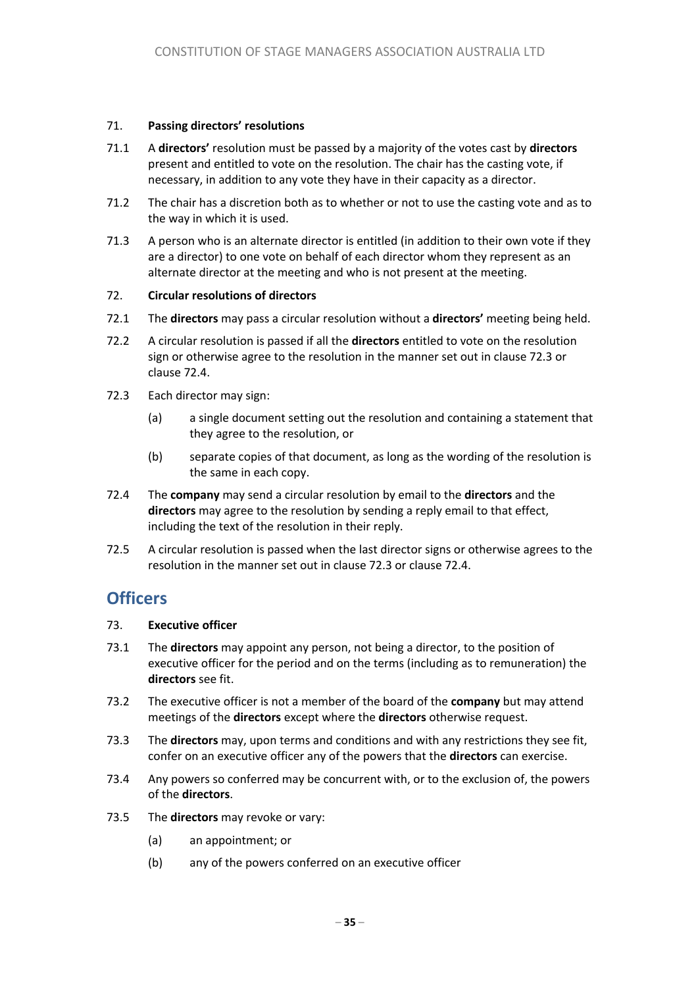#### 71. **Passing directors' resolutions**

- 71.1 A **directors'** resolution must be passed by a majority of the votes cast by **directors** present and entitled to vote on the resolution. The chair has the casting vote, if necessary, in addition to any vote they have in their capacity as a director.
- 71.2 The chair has a discretion both as to whether or not to use the casting vote and as to the way in which it is used.
- 71.3 A person who is an alternate director is entitled (in addition to their own vote if they are a director) to one vote on behalf of each director whom they represent as an alternate director at the meeting and who is not present at the meeting.

#### 72. **Circular resolutions of directors**

- 72.1 The **directors** may pass a circular resolution without a **directors'** meeting being held.
- 72.2 A circular resolution is passed if all the **directors** entitled to vote on the resolution sign or otherwise agree to the resolution in the manner set out in clause 72.3 or clause 72.4.
- 72.3 Each director may sign:
	- (a) a single document setting out the resolution and containing a statement that they agree to the resolution, or
	- (b) separate copies of that document, as long as the wording of the resolution is the same in each copy.
- 72.4 The **company** may send a circular resolution by email to the **directors** and the **directors** may agree to the resolution by sending a reply email to that effect, including the text of the resolution in their reply.
- 72.5 A circular resolution is passed when the last director signs or otherwise agrees to the resolution in the manner set out in clause 72.3 or clause 72.4.

### **Officers**

#### 73. **Executive officer**

- 73.1 The **directors** may appoint any person, not being a director, to the position of executive officer for the period and on the terms (including as to remuneration) the **directors** see fit.
- 73.2 The executive officer is not a member of the board of the **company** but may attend meetings of the **directors** except where the **directors** otherwise request.
- 73.3 The **directors** may, upon terms and conditions and with any restrictions they see fit, confer on an executive officer any of the powers that the **directors** can exercise.
- 73.4 Any powers so conferred may be concurrent with, or to the exclusion of, the powers of the **directors**.
- 73.5 The **directors** may revoke or vary:
	- (a) an appointment; or
	- (b) any of the powers conferred on an executive officer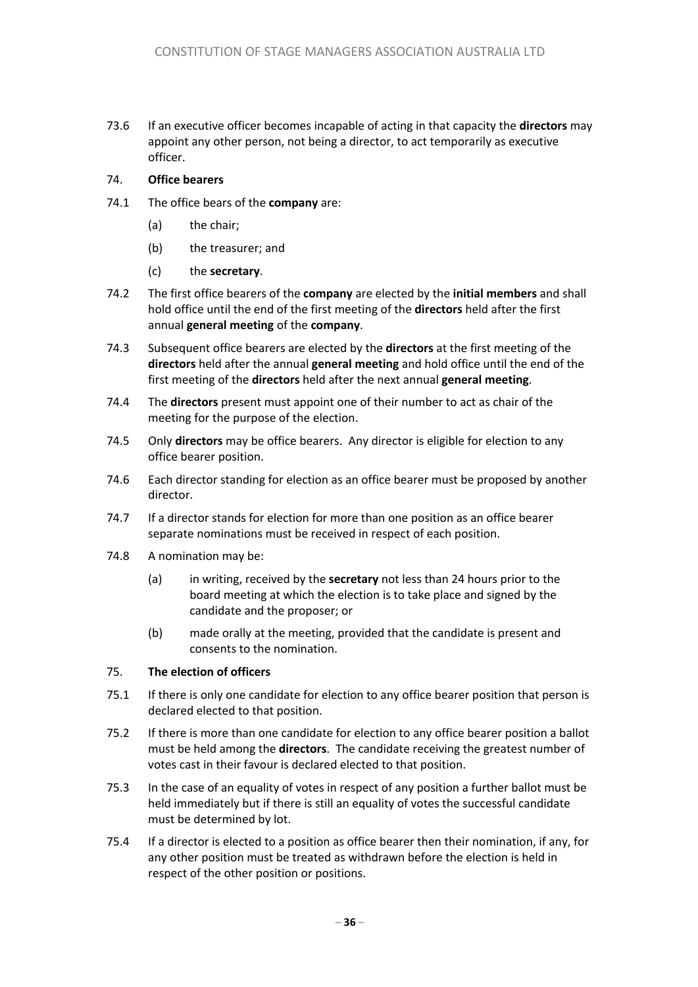73.6 If an executive officer becomes incapable of acting in that capacity the **directors** may appoint any other person, not being a director, to act temporarily as executive officer.

#### 74. **Office bearers**

- 74.1 The office bears of the **company** are:
	- (a) the chair;
	- (b) the treasurer; and
	- (c) the **secretary**.
- 74.2 The first office bearers of the **company** are elected by the **initial members** and shall hold office until the end of the first meeting of the **directors** held after the first annual **general meeting** of the **company**.
- 74.3 Subsequent office bearers are elected by the **directors** at the first meeting of the **directors** held after the annual **general meeting** and hold office until the end of the first meeting of the **directors** held after the next annual **general meeting**.
- 74.4 The **directors** present must appoint one of their number to act as chair of the meeting for the purpose of the election.
- 74.5 Only **directors** may be office bearers. Any director is eligible for election to any office bearer position.
- 74.6 Each director standing for election as an office bearer must be proposed by another director.
- 74.7 If a director stands for election for more than one position as an office bearer separate nominations must be received in respect of each position.
- 74.8 A nomination may be:
	- (a) in writing, received by the **secretary** not less than 24 hours prior to the board meeting at which the election is to take place and signed by the candidate and the proposer; or
	- (b) made orally at the meeting, provided that the candidate is present and consents to the nomination.

#### 75. **The election of officers**

- 75.1 If there is only one candidate for election to any office bearer position that person is declared elected to that position.
- 75.2 If there is more than one candidate for election to any office bearer position a ballot must be held among the **directors**. The candidate receiving the greatest number of votes cast in their favour is declared elected to that position.
- 75.3 In the case of an equality of votes in respect of any position a further ballot must be held immediately but if there is still an equality of votes the successful candidate must be determined by lot.
- 75.4 If a director is elected to a position as office bearer then their nomination, if any, for any other position must be treated as withdrawn before the election is held in respect of the other position or positions.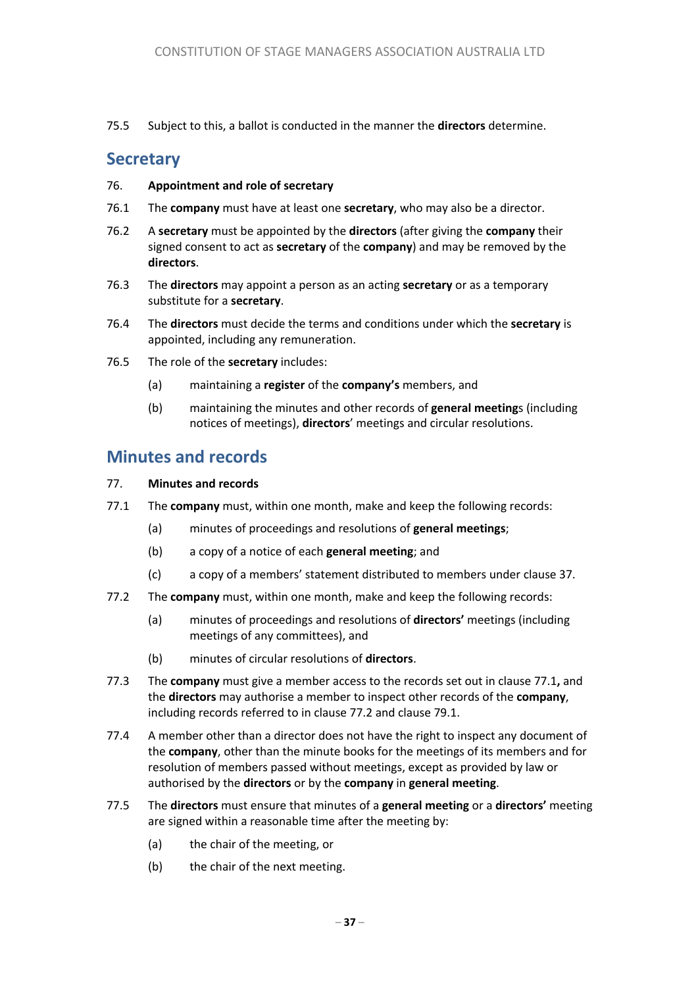75.5 Subject to this, a ballot is conducted in the manner the **directors** determine.

### **Secretary**

#### 76. **Appointment and role of secretary**

- 76.1 The **company** must have at least one **secretary**, who may also be a director.
- 76.2 A **secretary** must be appointed by the **directors** (after giving the **company** their signed consent to act as **secretary** of the **company**) and may be removed by the **directors**.
- 76.3 The **directors** may appoint a person as an acting **secretary** or as a temporary substitute for a **secretary**.
- 76.4 The **directors** must decide the terms and conditions under which the **secretary** is appointed, including any remuneration.
- 76.5 The role of the **secretary** includes:
	- (a) maintaining a **register** of the **company's** members, and
	- (b) maintaining the minutes and other records of **general meeting**s (including notices of meetings), **directors**' meetings and circular resolutions.

### **Minutes and records**

#### 77. **Minutes and records**

- 77.1 The **company** must, within one month, make and keep the following records:
	- (a) minutes of proceedings and resolutions of **general meetings**;
	- (b) a copy of a notice of each **general meeting**; and
	- (c) a copy of a members' statement distributed to members under clause 37.
- 77.2 The **company** must, within one month, make and keep the following records:
	- (a) minutes of proceedings and resolutions of **directors'** meetings (including meetings of any committees), and
	- (b) minutes of circular resolutions of **directors**.
- 77.3 The **company** must give a member access to the records set out in clause 77.1**,** and the **directors** may authorise a member to inspect other records of the **company**, including records referred to in clause 77.2 and clause 79.1.
- 77.4 A member other than a director does not have the right to inspect any document of the **company**, other than the minute books for the meetings of its members and for resolution of members passed without meetings, except as provided by law or authorised by the **directors** or by the **company** in **general meeting**.
- 77.5 The **directors** must ensure that minutes of a **general meeting** or a **directors'** meeting are signed within a reasonable time after the meeting by:
	- (a) the chair of the meeting, or
	- (b) the chair of the next meeting.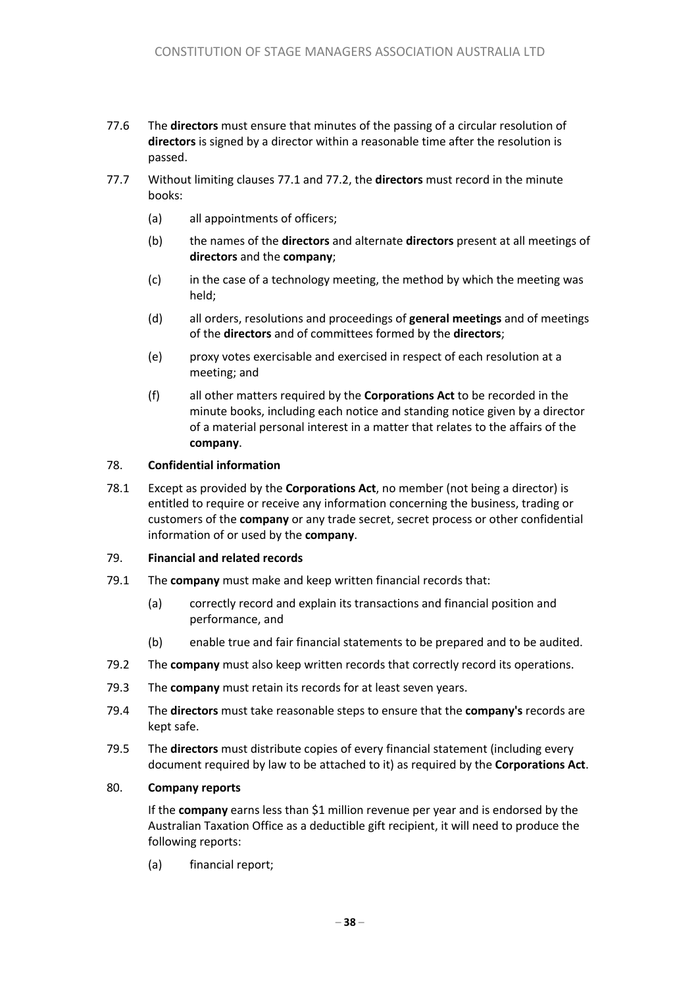- 77.6 The **directors** must ensure that minutes of the passing of a circular resolution of **directors** is signed by a director within a reasonable time after the resolution is passed.
- 77.7 Without limiting clauses 77.1 and 77.2, the **directors** must record in the minute books:
	- (a) all appointments of officers;
	- (b) the names of the **directors** and alternate **directors** present at all meetings of **directors** and the **company**;
	- (c) in the case of a technology meeting, the method by which the meeting was held;
	- (d) all orders, resolutions and proceedings of **general meetings** and of meetings of the **directors** and of committees formed by the **directors**;
	- (e) proxy votes exercisable and exercised in respect of each resolution at a meeting; and
	- (f) all other matters required by the **Corporations Act** to be recorded in the minute books, including each notice and standing notice given by a director of a material personal interest in a matter that relates to the affairs of the **company**.

#### 78. **Confidential information**

78.1 Except as provided by the **Corporations Act**, no member (not being a director) is entitled to require or receive any information concerning the business, trading or customers of the **company** or any trade secret, secret process or other confidential information of or used by the **company**.

#### 79. **Financial and related records**

- 79.1 The **company** must make and keep written financial records that:
	- (a) correctly record and explain its transactions and financial position and performance, and
	- (b) enable true and fair financial statements to be prepared and to be audited.
- 79.2 The **company** must also keep written records that correctly record its operations.
- 79.3 The **company** must retain its records for at least seven years.
- 79.4 The **directors** must take reasonable steps to ensure that the **company's** records are kept safe.
- 79.5 The **directors** must distribute copies of every financial statement (including every document required by law to be attached to it) as required by the **Corporations Act**.

#### 80. **Company reports**

If the **company** earns less than \$1 million revenue per year and is endorsed by the Australian Taxation Office as a deductible gift recipient, it will need to produce the following reports:

(a) financial report;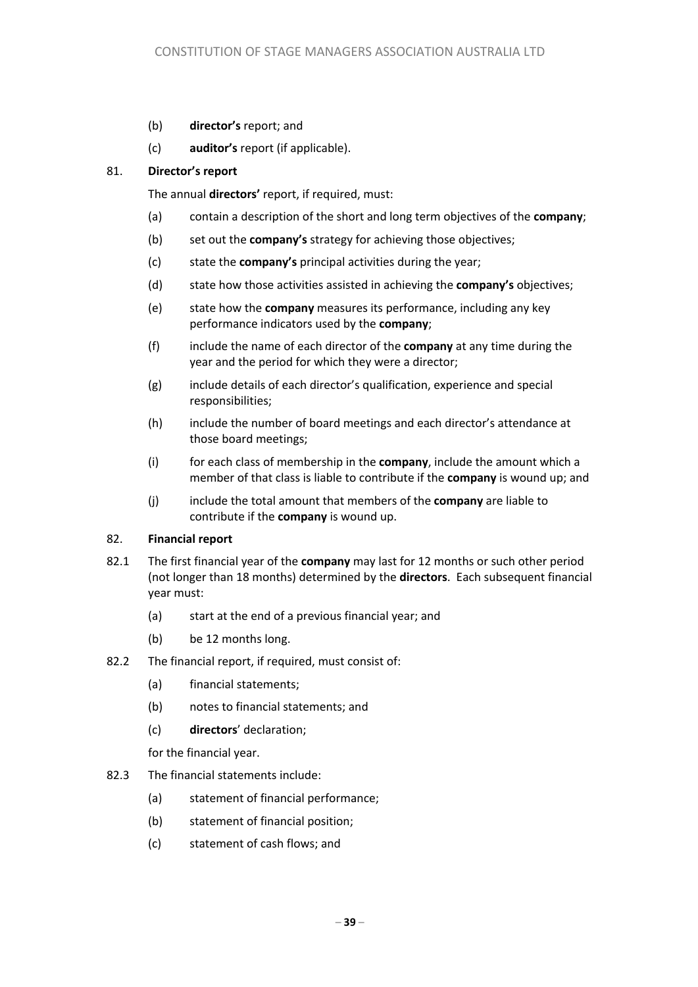- (b) **director's** report; and
- (c) **auditor's** report (if applicable).

#### 81. **Director's report**

The annual **directors'** report, if required, must:

- (a) contain a description of the short and long term objectives of the **company**;
- (b) set out the **company's** strategy for achieving those objectives;
- (c) state the **company's** principal activities during the year;
- (d) state how those activities assisted in achieving the **company's** objectives;
- (e) state how the **company** measures its performance, including any key performance indicators used by the **company**;
- (f) include the name of each director of the **company** at any time during the year and the period for which they were a director;
- (g) include details of each director's qualification, experience and special responsibilities;
- (h) include the number of board meetings and each director's attendance at those board meetings;
- (i) for each class of membership in the **company**, include the amount which a member of that class is liable to contribute if the **company** is wound up; and
- (j) include the total amount that members of the **company** are liable to contribute if the **company** is wound up.

#### 82. **Financial report**

- 82.1 The first financial year of the **company** may last for 12 months or such other period (not longer than 18 months) determined by the **directors**. Each subsequent financial year must:
	- (a) start at the end of a previous financial year; and
	- (b) be 12 months long.
- 82.2 The financial report, if required, must consist of:
	- (a) financial statements;
	- (b) notes to financial statements; and
	- (c) **directors**' declaration;

for the financial year.

- 82.3 The financial statements include:
	- (a) statement of financial performance;
	- (b) statement of financial position;
	- (c) statement of cash flows; and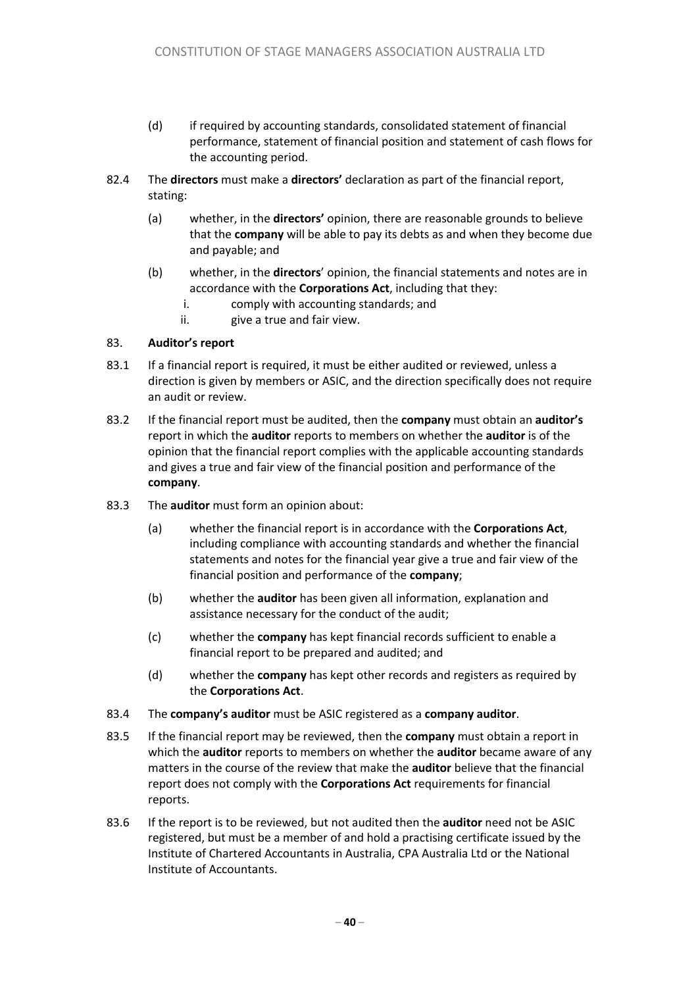- (d) if required by accounting standards, consolidated statement of financial performance, statement of financial position and statement of cash flows for the accounting period.
- 82.4 The **directors** must make a **directors'** declaration as part of the financial report, stating:
	- (a) whether, in the **directors'** opinion, there are reasonable grounds to believe that the **company** will be able to pay its debts as and when they become due and payable; and
	- (b) whether, in the **directors**' opinion, the financial statements and notes are in accordance with the **Corporations Act**, including that they:
		- i. comply with accounting standards; and
		- ii. give a true and fair view.

#### 83. **Auditor's report**

- 83.1 If a financial report is required, it must be either audited or reviewed, unless a direction is given by members or ASIC, and the direction specifically does not require an audit or review.
- 83.2 If the financial report must be audited, then the **company** must obtain an **auditor's** report in which the **auditor** reports to members on whether the **auditor** is of the opinion that the financial report complies with the applicable accounting standards and gives a true and fair view of the financial position and performance of the **company**.
- 83.3 The **auditor** must form an opinion about:
	- (a) whether the financial report is in accordance with the **Corporations Act**, including compliance with accounting standards and whether the financial statements and notes for the financial year give a true and fair view of the financial position and performance of the **company**;
	- (b) whether the **auditor** has been given all information, explanation and assistance necessary for the conduct of the audit;
	- (c) whether the **company** has kept financial records sufficient to enable a financial report to be prepared and audited; and
	- (d) whether the **company** has kept other records and registers as required by the **Corporations Act**.
- 83.4 The **company's auditor** must be ASIC registered as a **company auditor**.
- 83.5 If the financial report may be reviewed, then the **company** must obtain a report in which the **auditor** reports to members on whether the **auditor** became aware of any matters in the course of the review that make the **auditor** believe that the financial report does not comply with the **Corporations Act** requirements for financial reports.
- 83.6 If the report is to be reviewed, but not audited then the **auditor** need not be ASIC registered, but must be a member of and hold a practising certificate issued by the Institute of Chartered Accountants in Australia, CPA Australia Ltd or the National Institute of Accountants.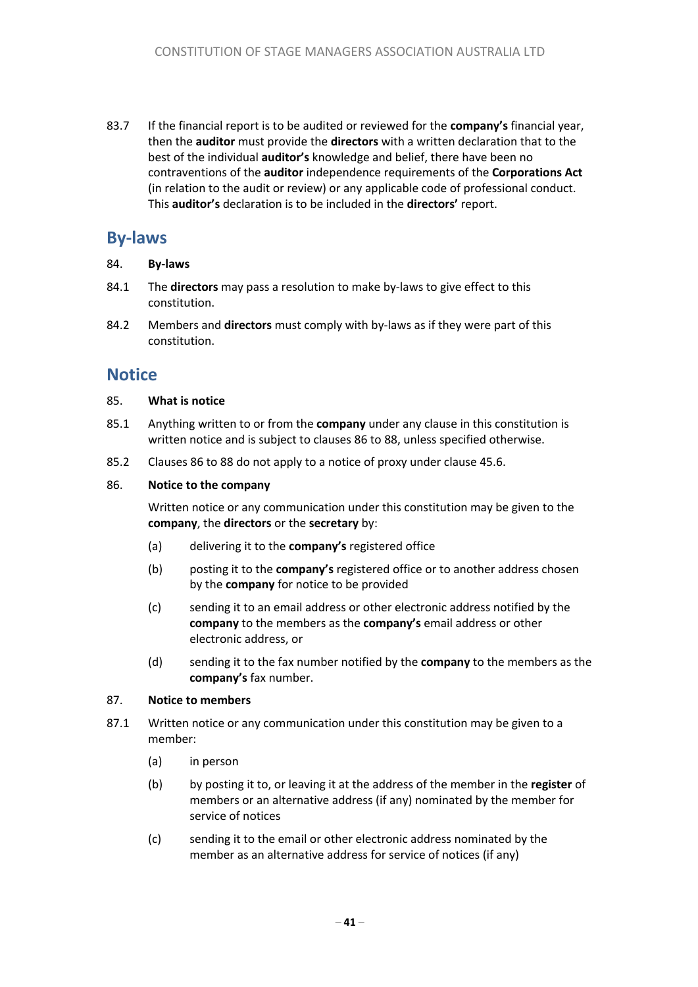83.7 If the financial report is to be audited or reviewed for the **company's** financial year, then the **auditor** must provide the **directors** with a written declaration that to the best of the individual **auditor's** knowledge and belief, there have been no contraventions of the **auditor** independence requirements of the **Corporations Act** (in relation to the audit or review) or any applicable code of professional conduct. This **auditor's** declaration is to be included in the **directors'** report.

# **By-laws**

#### 84. **By-laws**

- 84.1 The **directors** may pass a resolution to make by-laws to give effect to this constitution.
- 84.2 Members and **directors** must comply with by-laws as if they were part of this constitution.

### **Notice**

#### 85. **What is notice**

- 85.1 Anything written to or from the **company** under any clause in this constitution is written notice and is subject to clauses 86 to 88, unless specified otherwise.
- 85.2 Clauses 86 to 88 do not apply to a notice of proxy under clause 45.6.

#### 86. **Notice to the company**

Written notice or any communication under this constitution may be given to the **company**, the **directors** or the **secretary** by:

- (a) delivering it to the **company's** registered office
- (b) posting it to the **company's** registered office or to another address chosen by the **company** for notice to be provided
- (c) sending it to an email address or other electronic address notified by the **company** to the members as the **company's** email address or other electronic address, or
- (d) sending it to the fax number notified by the **company** to the members as the **company's** fax number.

#### 87. **Notice to members**

- 87.1 Written notice or any communication under this constitution may be given to a member:
	- (a) in person
	- (b) by posting it to, or leaving it at the address of the member in the **register** of members or an alternative address (if any) nominated by the member for service of notices
	- (c) sending it to the email or other electronic address nominated by the member as an alternative address for service of notices (if any)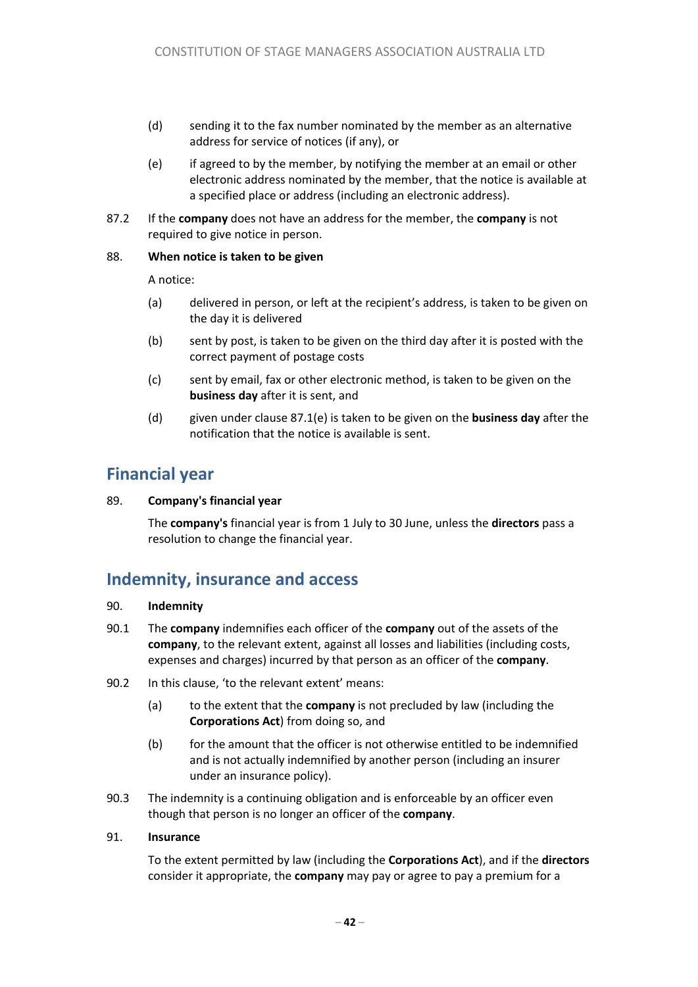- (d) sending it to the fax number nominated by the member as an alternative address for service of notices (if any), or
- (e) if agreed to by the member, by notifying the member at an email or other electronic address nominated by the member, that the notice is available at a specified place or address (including an electronic address).
- 87.2 If the **company** does not have an address for the member, the **company** is not required to give notice in person.

#### 88. **When notice is taken to be given**

A notice:

- (a) delivered in person, or left at the recipient's address, is taken to be given on the day it is delivered
- (b) sent by post, is taken to be given on the third day after it is posted with the correct payment of postage costs
- (c) sent by email, fax or other electronic method, is taken to be given on the **business day** after it is sent, and
- (d) given under clause 87.1(e) is taken to be given on the **business day** after the notification that the notice is available is sent.

# **Financial year**

#### 89. **Company's financial year**

The **company's** financial year is from 1 July to 30 June, unless the **directors** pass a resolution to change the financial year.

### **Indemnity, insurance and access**

#### 90. **Indemnity**

- 90.1 The **company** indemnifies each officer of the **company** out of the assets of the **company**, to the relevant extent, against all losses and liabilities (including costs, expenses and charges) incurred by that person as an officer of the **company**.
- 90.2 In this clause, 'to the relevant extent' means:
	- (a) to the extent that the **company** is not precluded by law (including the **Corporations Act**) from doing so, and
	- (b) for the amount that the officer is not otherwise entitled to be indemnified and is not actually indemnified by another person (including an insurer under an insurance policy).
- 90.3 The indemnity is a continuing obligation and is enforceable by an officer even though that person is no longer an officer of the **company**.

#### 91. **Insurance**

To the extent permitted by law (including the **Corporations Act**), and if the **directors** consider it appropriate, the **company** may pay or agree to pay a premium for a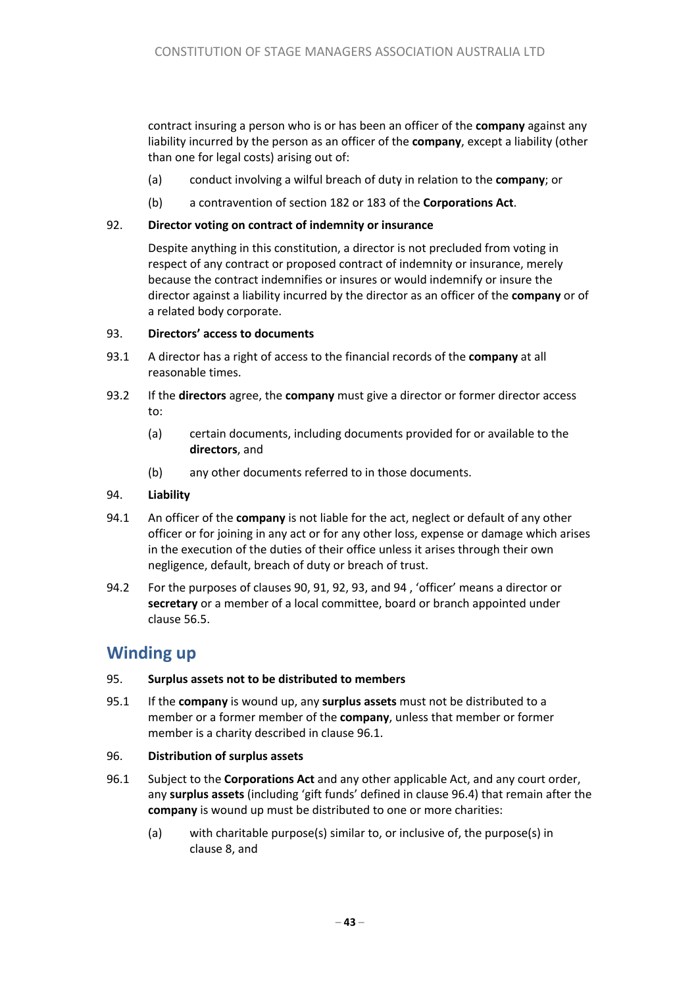contract insuring a person who is or has been an officer of the **company** against any liability incurred by the person as an officer of the **company**, except a liability (other than one for legal costs) arising out of:

- (a) conduct involving a wilful breach of duty in relation to the **company**; or
- (b) a contravention of section 182 or 183 of the **Corporations Act**.

#### 92. **Director voting on contract of indemnity or insurance**

Despite anything in this constitution, a director is not precluded from voting in respect of any contract or proposed contract of indemnity or insurance, merely because the contract indemnifies or insures or would indemnify or insure the director against a liability incurred by the director as an officer of the **company** or of a related body corporate.

#### 93. **Directors' access to documents**

- 93.1 A director has a right of access to the financial records of the **company** at all reasonable times.
- 93.2 If the **directors** agree, the **company** must give a director or former director access to:
	- (a) certain documents, including documents provided for or available to the **directors**, and
	- (b) any other documents referred to in those documents.

#### 94. **Liability**

- 94.1 An officer of the **company** is not liable for the act, neglect or default of any other officer or for joining in any act or for any other loss, expense or damage which arises in the execution of the duties of their office unless it arises through their own negligence, default, breach of duty or breach of trust.
- 94.2 For the purposes of clauses 90, 91, 92, 93, and 94 , 'officer' means a director or **secretary** or a member of a local committee, board or branch appointed under clause 56.5.

# **Winding up**

#### 95. **Surplus assets not to be distributed to members**

95.1 If the **company** is wound up, any **surplus assets** must not be distributed to a member or a former member of the **company**, unless that member or former member is a charity described in clause 96.1.

#### 96. **Distribution of surplus assets**

- 96.1 Subject to the **Corporations Act** and any other applicable Act, and any court order, any **surplus assets** (including 'gift funds' defined in clause 96.4) that remain after the **company** is wound up must be distributed to one or more charities:
	- (a) with charitable purpose(s) similar to, or inclusive of, the purpose(s) in clause 8, and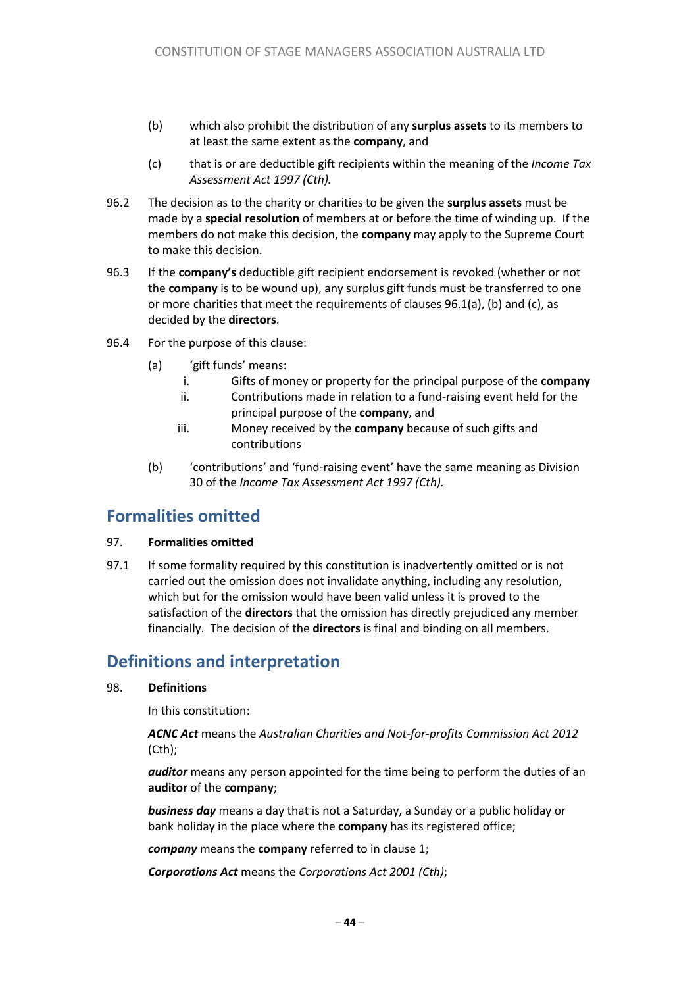- (b) which also prohibit the distribution of any **surplus assets** to its members to at least the same extent as the **company**, and
- (c) that is or are deductible gift recipients within the meaning of the *Income Tax Assessment Act 1997 (Cth).*
- 96.2 The decision as to the charity or charities to be given the **surplus assets** must be made by a **special resolution** of members at or before the time of winding up. If the members do not make this decision, the **company** may apply to the Supreme Court to make this decision.
- 96.3 If the **company's** deductible gift recipient endorsement is revoked (whether or not the **company** is to be wound up), any surplus gift funds must be transferred to one or more charities that meet the requirements of clauses 96.1(a), (b) and (c), as decided by the **directors**.
- 96.4 For the purpose of this clause:
	- (a) 'gift funds' means:
		- i. Gifts of money or property for the principal purpose of the **company**
		- ii. Contributions made in relation to a fund-raising event held for the principal purpose of the **company**, and
		- iii. Money received by the **company** because of such gifts and contributions
	- (b) 'contributions' and 'fund-raising event' have the same meaning as Division 30 of the *Income Tax Assessment Act 1997 (Cth).*

### **Formalities omitted**

#### 97. **Formalities omitted**

97.1 If some formality required by this constitution is inadvertently omitted or is not carried out the omission does not invalidate anything, including any resolution, which but for the omission would have been valid unless it is proved to the satisfaction of the **directors** that the omission has directly prejudiced any member financially. The decision of the **directors** is final and binding on all members.

# **Definitions and interpretation**

#### 98. **Definitions**

In this constitution:

*ACNC Act* means the *Australian Charities and Not-for-profits Commission Act 2012* (Cth);

*auditor* means any person appointed for the time being to perform the duties of an **auditor** of the **company**;

*business day* means a day that is not a Saturday, a Sunday or a public holiday or bank holiday in the place where the **company** has its registered office;

*company* means the **company** referred to in clause 1;

*Corporations Act* means the *Corporations Act 2001 (Cth)*;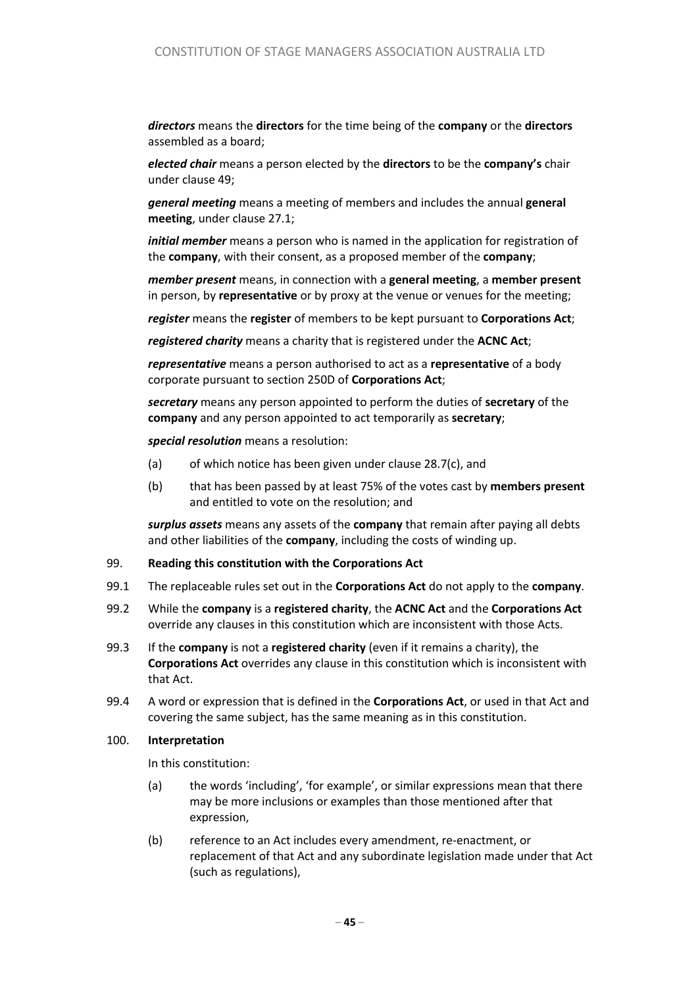*directors* means the **directors** for the time being of the **company** or the **directors** assembled as a board;

*elected chair* means a person elected by the **directors** to be the **company's** chair under clause 49;

*general meeting* means a meeting of members and includes the annual **general meeting**, under clause 27.1;

*initial member* means a person who is named in the application for registration of the **company**, with their consent, as a proposed member of the **company**;

*member present* means, in connection with a **general meeting**, a **member present** in person, by **representative** or by proxy at the venue or venues for the meeting;

*register* means the **register** of members to be kept pursuant to **Corporations Act**;

*registered charity* means a charity that is registered under the **ACNC Act**;

*representative* means a person authorised to act as a **representative** of a body corporate pursuant to section 250D of **Corporations Act**;

*secretary* means any person appointed to perform the duties of **secretary** of the **company** and any person appointed to act temporarily as **secretary**;

*special resolution* means a resolution:

- (a) of which notice has been given under clause 28.7(c), and
- (b) that has been passed by at least 75% of the votes cast by **members present** and entitled to vote on the resolution; and

*surplus assets* means any assets of the **company** that remain after paying all debts and other liabilities of the **company**, including the costs of winding up.

#### 99. **Reading this constitution with the Corporations Act**

- 99.1 The replaceable rules set out in the **Corporations Act** do not apply to the **company**.
- 99.2 While the **company** is a **registered charity**, the **ACNC Act** and the **Corporations Act** override any clauses in this constitution which are inconsistent with those Acts.
- 99.3 If the **company** is not a **registered charity** (even if it remains a charity), the **Corporations Act** overrides any clause in this constitution which is inconsistent with that Act.
- 99.4 A word or expression that is defined in the **Corporations Act**, or used in that Act and covering the same subject, has the same meaning as in this constitution.

#### 100. **Interpretation**

In this constitution:

- (a) the words 'including', 'for example', or similar expressions mean that there may be more inclusions or examples than those mentioned after that expression,
- (b) reference to an Act includes every amendment, re-enactment, or replacement of that Act and any subordinate legislation made under that Act (such as regulations),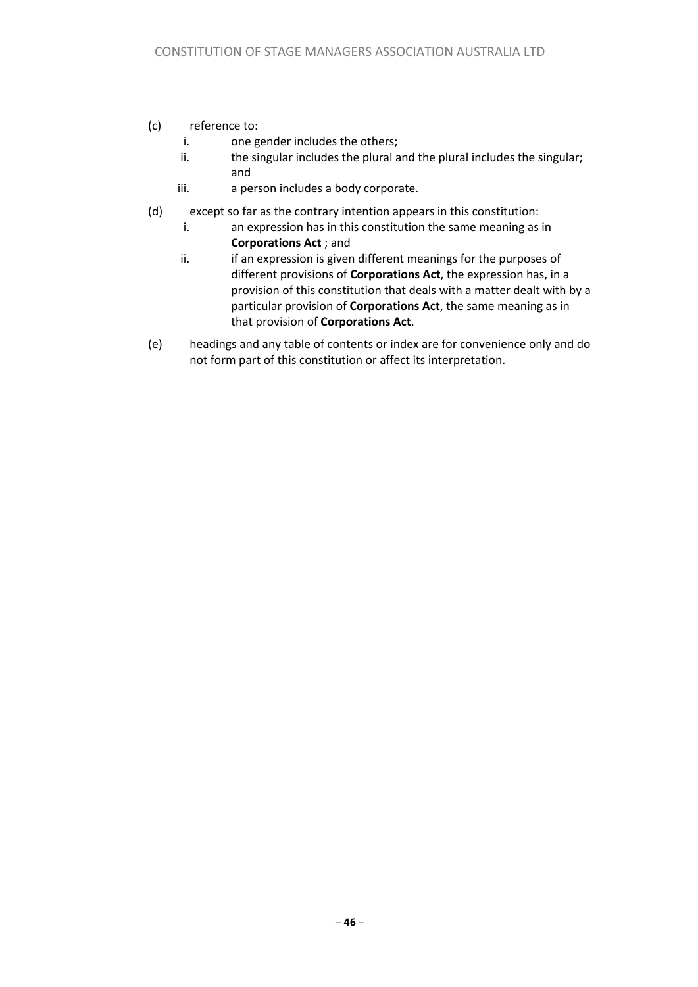#### (c) reference to:

- i. one gender includes the others;
- ii. the singular includes the plural and the plural includes the singular; and
- iii. a person includes a body corporate.
- (d) except so far as the contrary intention appears in this constitution:
	- i. an expression has in this constitution the same meaning as in **Corporations Act** ; and
	- ii. ii. if an expression is given different meanings for the purposes of different provisions of **Corporations Act**, the expression has, in a provision of this constitution that deals with a matter dealt with by a particular provision of **Corporations Act**, the same meaning as in that provision of **Corporations Act**.
- (e) headings and any table of contents or index are for convenience only and do not form part of this constitution or affect its interpretation.